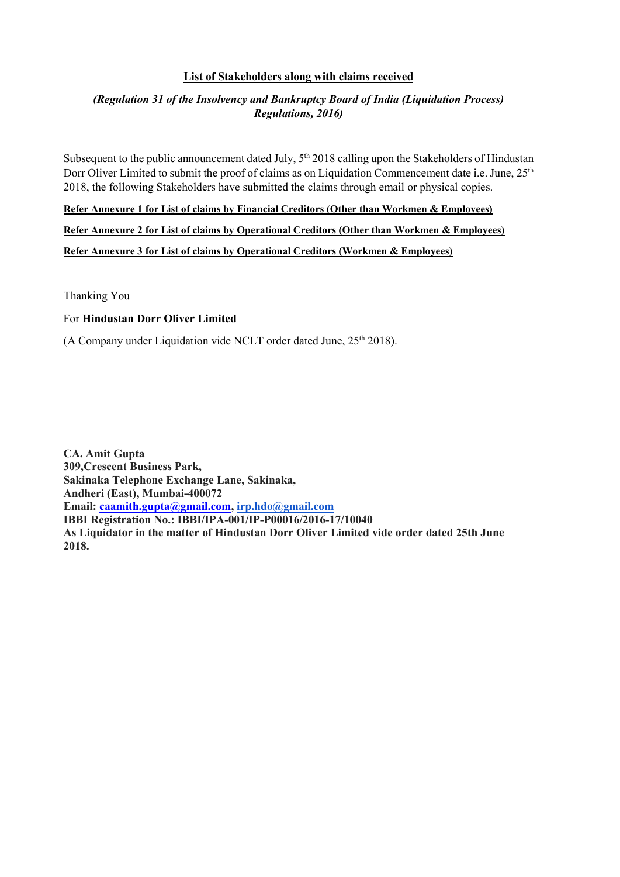#### List of Stakeholders along with claims received

### (Regulation 31 of the Insolvency and Bankruptcy Board of India (Liquidation Process) Regulations, 2016)

Subsequent to the public announcement dated July, 5<sup>th</sup> 2018 calling upon the Stakeholders of Hindustan Dorr Oliver Limited to submit the proof of claims as on Liquidation Commencement date i.e. June, 25<sup>th</sup> 2018, the following Stakeholders have submitted the claims through email or physical copies.

Refer Annexure 1 for List of claims by Financial Creditors (Other than Workmen & Employees)

Refer Annexure 2 for List of claims by Operational Creditors (Other than Workmen & Employees)

Refer Annexure 3 for List of claims by Operational Creditors (Workmen & Employees)

Thanking You

#### For Hindustan Dorr Oliver Limited

(A Company under Liquidation vide NCLT order dated June,  $25<sup>th</sup> 2018$ ).

CA. Amit Gupta 309,Crescent Business Park, Sakinaka Telephone Exchange Lane, Sakinaka, Andheri (East), Mumbai-400072 Email: caamith.gupta@gmail.com, irp.hdo@gmail.com IBBI Registration No.: IBBI/IPA-001/IP-P00016/2016-17/10040 As Liquidator in the matter of Hindustan Dorr Oliver Limited vide order dated 25th June 2018.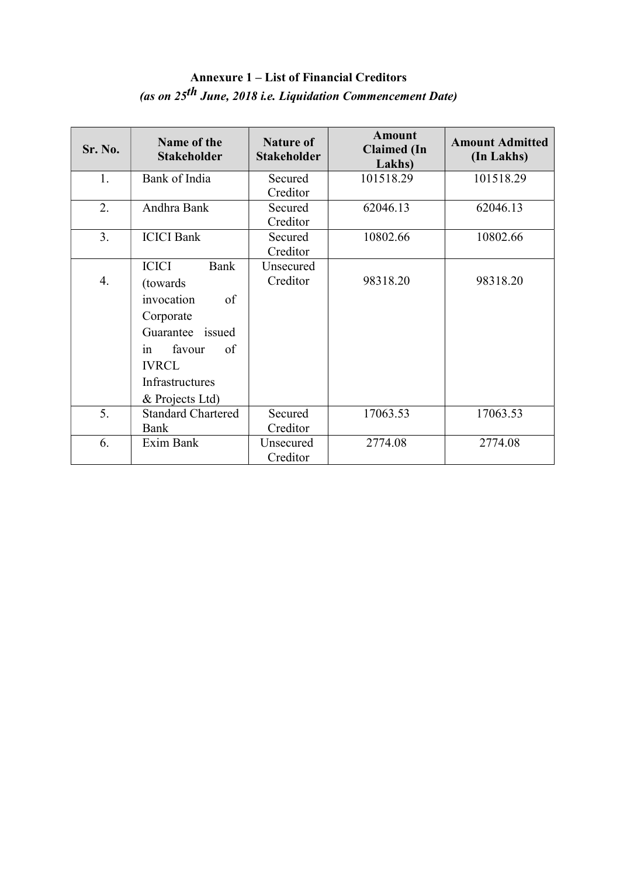## Annexure 1 – List of Financial Creditors (as on 25th June, 2018 i.e. Liquidation Commencement Date)

| <b>Sr. No.</b> | Name of the<br><b>Stakeholder</b> | <b>Nature of</b><br><b>Stakeholder</b> | <b>Amount</b><br><b>Claimed</b> (In<br>Lakhs) | <b>Amount Admitted</b><br>(In Lakhs) |
|----------------|-----------------------------------|----------------------------------------|-----------------------------------------------|--------------------------------------|
| 1.             | Bank of India                     | Secured                                | 101518.29                                     | 101518.29                            |
|                |                                   | Creditor                               |                                               |                                      |
| 2.             | Andhra Bank                       | Secured                                | 62046.13                                      | 62046.13                             |
|                |                                   | Creditor                               |                                               |                                      |
| 3.             | <b>ICICI</b> Bank                 | Secured                                | 10802.66                                      | 10802.66                             |
|                |                                   | Creditor                               |                                               |                                      |
|                | <b>ICICI</b><br>Bank              | Unsecured                              |                                               |                                      |
| 4.             | (towards)                         | Creditor                               | 98318.20                                      | 98318.20                             |
|                | invocation<br>of                  |                                        |                                               |                                      |
|                | Corporate                         |                                        |                                               |                                      |
|                | Guarantee issued                  |                                        |                                               |                                      |
|                | favour<br>of<br>1n                |                                        |                                               |                                      |
|                | <b>IVRCL</b>                      |                                        |                                               |                                      |
|                | Infrastructures                   |                                        |                                               |                                      |
|                | & Projects Ltd)                   |                                        |                                               |                                      |
| 5.             | <b>Standard Chartered</b>         | Secured                                | 17063.53                                      | 17063.53                             |
|                | Bank                              | Creditor                               |                                               |                                      |
| 6.             | Exim Bank                         | Unsecured                              | 2774.08                                       | 2774.08                              |
|                |                                   | Creditor                               |                                               |                                      |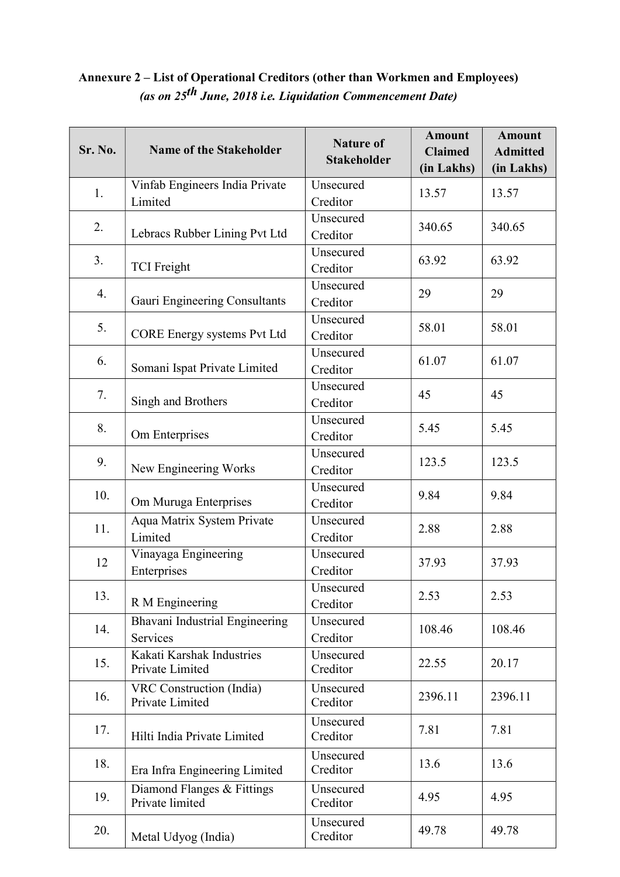## Annexure 2 – List of Operational Creditors (other than Workmen and Employees) (as on 25th June, 2018 i.e. Liquidation Commencement Date)

| Sr. No. | <b>Name of the Stakeholder</b>                | <b>Nature of</b><br><b>Stakeholder</b> | <b>Amount</b><br><b>Claimed</b><br>(in Lakhs) | <b>Amount</b><br><b>Admitted</b><br>(in Lakhs) |  |
|---------|-----------------------------------------------|----------------------------------------|-----------------------------------------------|------------------------------------------------|--|
|         | Vinfab Engineers India Private                | Unsecured                              |                                               |                                                |  |
| 1.      | Limited                                       | Creditor                               | 13.57                                         | 13.57                                          |  |
|         |                                               | Unsecured                              | 340.65                                        |                                                |  |
| 2.      | Lebracs Rubber Lining Pvt Ltd                 | Creditor                               |                                               | 340.65                                         |  |
| 3.      |                                               | Unsecured                              | 63.92                                         | 63.92                                          |  |
|         | <b>TCI</b> Freight                            | Creditor                               |                                               |                                                |  |
| 4.      |                                               | Unsecured                              | 29                                            | 29                                             |  |
|         | Gauri Engineering Consultants                 | Creditor                               |                                               |                                                |  |
| 5.      |                                               | Unsecured                              | 58.01                                         | 58.01                                          |  |
|         | CORE Energy systems Pvt Ltd                   | Creditor                               |                                               |                                                |  |
| 6.      |                                               | Unsecured                              | 61.07                                         | 61.07                                          |  |
|         | Somani Ispat Private Limited                  | Creditor                               |                                               |                                                |  |
| 7.      |                                               | Unsecured                              | 45                                            | 45                                             |  |
|         | Singh and Brothers                            | Creditor                               |                                               |                                                |  |
| 8.      |                                               | Unsecured                              | 5.45                                          | 5.45                                           |  |
|         | Om Enterprises                                | Creditor                               |                                               |                                                |  |
| 9.      |                                               | Unsecured                              | 123.5                                         | 123.5                                          |  |
|         | New Engineering Works                         | Creditor                               |                                               |                                                |  |
| 10.     |                                               | Unsecured                              | 9.84                                          | 9.84                                           |  |
|         | Om Muruga Enterprises                         | Creditor                               |                                               |                                                |  |
| 11.     | Aqua Matrix System Private                    | Unsecured                              | 2.88                                          | 2.88                                           |  |
|         | Limited                                       | Creditor                               |                                               |                                                |  |
| 12      | Vinayaga Engineering                          | Unsecured                              | 37.93                                         | 37.93                                          |  |
|         | Enterprises                                   | Creditor                               |                                               |                                                |  |
| 13.     |                                               | Unsecured                              | 2.53                                          | 2.53                                           |  |
|         | R M Engineering                               | Creditor                               |                                               |                                                |  |
| 14.     | Bhavani Industrial Engineering                | Unsecured                              | 108.46                                        | 108.46                                         |  |
|         | Services                                      | Creditor                               |                                               |                                                |  |
| 15.     | Kakati Karshak Industries<br>Private Limited  | Unsecured<br>Creditor                  | 22.55                                         | 20.17                                          |  |
| 16.     | VRC Construction (India)<br>Private Limited   | Unsecured<br>Creditor                  | 2396.11                                       | 2396.11                                        |  |
|         |                                               |                                        |                                               |                                                |  |
| 17.     | Hilti India Private Limited                   | Unsecured<br>Creditor                  | 7.81                                          | 7.81                                           |  |
|         |                                               |                                        |                                               |                                                |  |
| 18.     | Era Infra Engineering Limited                 | Unsecured<br>Creditor                  | 13.6                                          | 13.6                                           |  |
|         |                                               |                                        |                                               |                                                |  |
| 19.     | Diamond Flanges & Fittings<br>Private limited | Unsecured<br>Creditor                  | 4.95                                          | 4.95                                           |  |
|         |                                               |                                        |                                               |                                                |  |
| 20.     | Metal Udyog (India)                           | Unsecured<br>Creditor                  | 49.78                                         | 49.78                                          |  |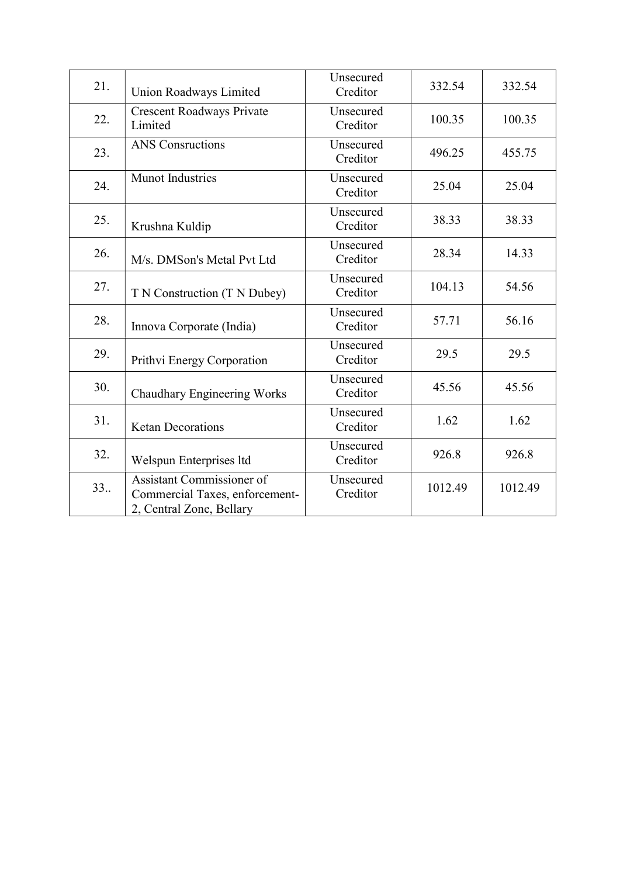| 21. | Union Roadways Limited                                                                  | Unsecured<br>Creditor | 332.54  | 332.54  |
|-----|-----------------------------------------------------------------------------------------|-----------------------|---------|---------|
| 22. | <b>Crescent Roadways Private</b><br>Limited                                             | Unsecured<br>Creditor | 100.35  | 100.35  |
| 23. | <b>ANS</b> Consructions                                                                 | Unsecured<br>Creditor | 496.25  | 455.75  |
| 24. | <b>Munot Industries</b>                                                                 | Unsecured<br>Creditor | 25.04   | 25.04   |
| 25. | Krushna Kuldip                                                                          | Unsecured<br>Creditor | 38.33   | 38.33   |
| 26. | M/s. DMSon's Metal Pvt Ltd                                                              | Unsecured<br>Creditor | 28.34   | 14.33   |
| 27. | T N Construction (T N Dubey)                                                            | Unsecured<br>Creditor | 104.13  | 54.56   |
| 28. | Innova Corporate (India)                                                                | Unsecured<br>Creditor | 57.71   | 56.16   |
| 29. | Prithvi Energy Corporation                                                              | Unsecured<br>Creditor | 29.5    | 29.5    |
| 30. | <b>Chaudhary Engineering Works</b>                                                      | Unsecured<br>Creditor | 45.56   | 45.56   |
| 31. | <b>Ketan Decorations</b>                                                                | Unsecured<br>Creditor | 1.62    | 1.62    |
| 32. | Welspun Enterprises ltd                                                                 | Unsecured<br>Creditor | 926.8   | 926.8   |
| 33  | Assistant Commissioner of<br>Commercial Taxes, enforcement-<br>2, Central Zone, Bellary | Unsecured<br>Creditor | 1012.49 | 1012.49 |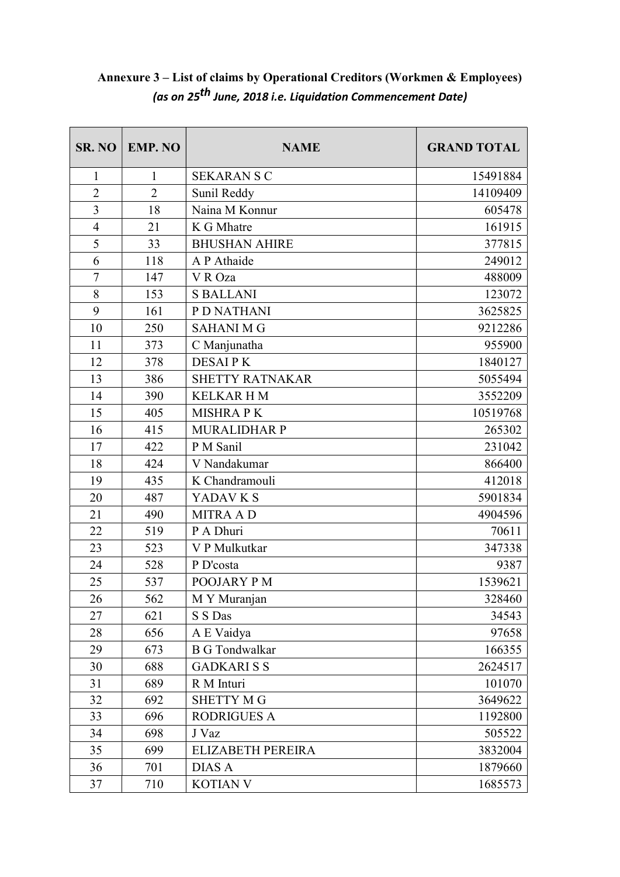| SR. NO         | <b>EMP. NO</b> | <b>NAME</b>            | <b>GRAND TOTAL</b> |
|----------------|----------------|------------------------|--------------------|
| $\mathbf{1}$   | 1              | <b>SEKARAN S C</b>     | 15491884           |
| $\overline{2}$ | $\overline{2}$ | Sunil Reddy            | 14109409           |
| 3              | 18             | Naina M Konnur         | 605478             |
| $\overline{4}$ | 21             | K G Mhatre             | 161915             |
| 5              | 33             | <b>BHUSHAN AHIRE</b>   | 377815             |
| 6              | 118            | A P Athaide            | 249012             |
| $\tau$         | 147            | V R Oza                | 488009             |
| 8              | 153            | <b>S BALLANI</b>       | 123072             |
| 9              | 161            | P D NATHANI            | 3625825            |
| 10             | 250            | <b>SAHANI M G</b>      | 9212286            |
| 11             | 373            | C Manjunatha           | 955900             |
| 12             | 378            | <b>DESAIPK</b>         | 1840127            |
| 13             | 386            | <b>SHETTY RATNAKAR</b> | 5055494            |
| 14             | 390            | <b>KELKARHM</b>        | 3552209            |
| 15             | 405            | <b>MISHRAPK</b>        | 10519768           |
| 16             | 415            | <b>MURALIDHAR P</b>    | 265302             |
| 17             | 422            | P M Sanil              | 231042             |
| 18             | 424            | V Nandakumar           | 866400             |
| 19             | 435            | K Chandramouli         | 412018             |
| 20             | 487            | YADAV K S              | 5901834            |
| 21             | 490            | <b>MITRA AD</b>        | 4904596            |
| 22             | 519            | P A Dhuri              | 70611              |
| 23             | 523            | V P Mulkutkar          | 347338             |
| 24             | 528            | P D'costa              | 9387               |
| 25             | 537            | POOJARY PM             | 1539621            |
| 26             | 562            | M Y Muranjan           | 328460             |
| 27             | 621            | S S Das                | 34543              |
| 28             | 656            | A E Vaidya             | 97658              |
| 29             | 673            | <b>B</b> G Tondwalkar  | 166355             |
| 30             | 688            | <b>GADKARISS</b>       | 2624517            |
| 31             | 689            | R M Inturi             | 101070             |
| 32             | 692            | <b>SHETTY MG</b>       | 3649622            |
| 33             | 696            | <b>RODRIGUES A</b>     | 1192800            |
| 34             | 698            | J Vaz                  | 505522             |
| 35             | 699            | ELIZABETH PEREIRA      | 3832004            |
| 36             | 701            | <b>DIAS A</b>          | 1879660            |
| 37             | 710            | <b>KOTIAN V</b>        | 1685573            |

# Annexure 3 – List of claims by Operational Creditors (Workmen & Employees) (as on 25th June, 2018 i.e. Liquidation Commencement Date)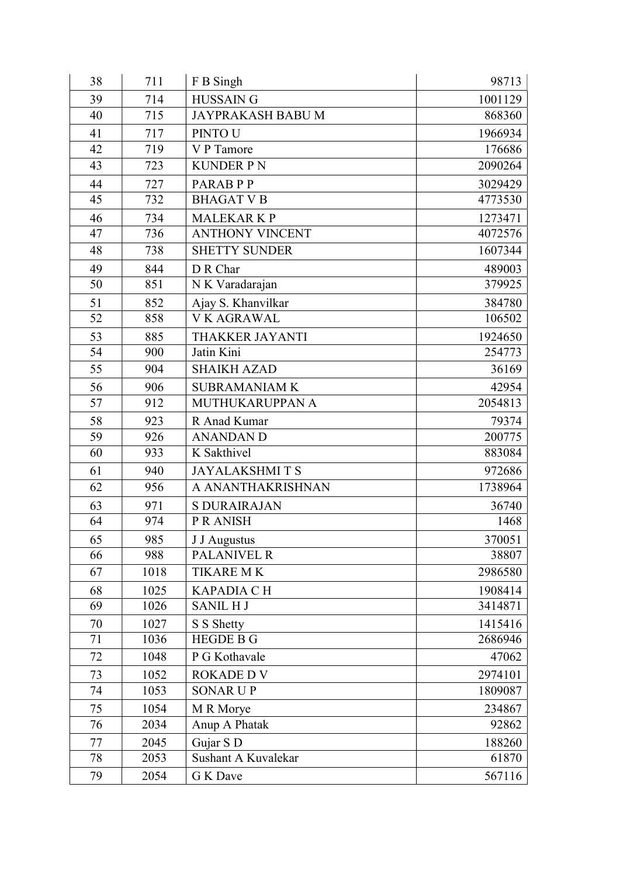| 38 | 711  | F B Singh                | 98713   |
|----|------|--------------------------|---------|
| 39 | 714  | <b>HUSSAIN G</b>         | 1001129 |
| 40 | 715  | <b>JAYPRAKASH BABU M</b> | 868360  |
| 41 | 717  | <b>PINTO U</b>           | 1966934 |
| 42 | 719  | V P Tamore               | 176686  |
| 43 | 723  | <b>KUNDER PN</b>         | 2090264 |
| 44 | 727  | PARAB P P                | 3029429 |
| 45 | 732  | <b>BHAGAT V B</b>        | 4773530 |
| 46 | 734  | <b>MALEKARKP</b>         | 1273471 |
| 47 | 736  | <b>ANTHONY VINCENT</b>   | 4072576 |
| 48 | 738  | <b>SHETTY SUNDER</b>     | 1607344 |
| 49 | 844  | D R Char                 | 489003  |
| 50 | 851  | N K Varadarajan          | 379925  |
| 51 | 852  | Ajay S. Khanvilkar       | 384780  |
| 52 | 858  | <b>VK AGRAWAL</b>        | 106502  |
| 53 | 885  | THAKKER JAYANTI          | 1924650 |
| 54 | 900  | Jatin Kini               | 254773  |
| 55 | 904  | <b>SHAIKH AZAD</b>       | 36169   |
| 56 | 906  | <b>SUBRAMANIAM K</b>     | 42954   |
| 57 | 912  | MUTHUKARUPPAN A          | 2054813 |
| 58 | 923  | R Anad Kumar             | 79374   |
| 59 | 926  | <b>ANANDAN D</b>         | 200775  |
| 60 | 933  | K Sakthivel              | 883084  |
| 61 | 940  | <b>JAYALAKSHMITS</b>     | 972686  |
| 62 | 956  | A ANANTHAKRISHNAN        | 1738964 |
| 63 | 971  | <b>S DURAIRAJAN</b>      | 36740   |
| 64 | 974  | P R ANISH                | 1468    |
| 65 | 985  | J J Augustus             | 370051  |
| 66 | 988  | <b>PALANIVEL R</b>       | 38807   |
| 67 | 1018 | TIKARE MK                | 2986580 |
| 68 | 1025 | <b>KAPADIA CH</b>        | 1908414 |
| 69 | 1026 | <b>SANIL HJ</b>          | 3414871 |
| 70 | 1027 | S S Shetty               | 1415416 |
| 71 | 1036 | <b>HEGDE B G</b>         | 2686946 |
| 72 | 1048 | P G Kothavale            | 47062   |
| 73 | 1052 | <b>ROKADE D V</b>        | 2974101 |
| 74 | 1053 | <b>SONAR UP</b>          | 1809087 |
| 75 | 1054 | M R Morye                | 234867  |
| 76 | 2034 | Anup A Phatak            | 92862   |
| 77 | 2045 | Gujar S D                | 188260  |
| 78 | 2053 | Sushant A Kuvalekar      | 61870   |
| 79 | 2054 | G K Dave                 | 567116  |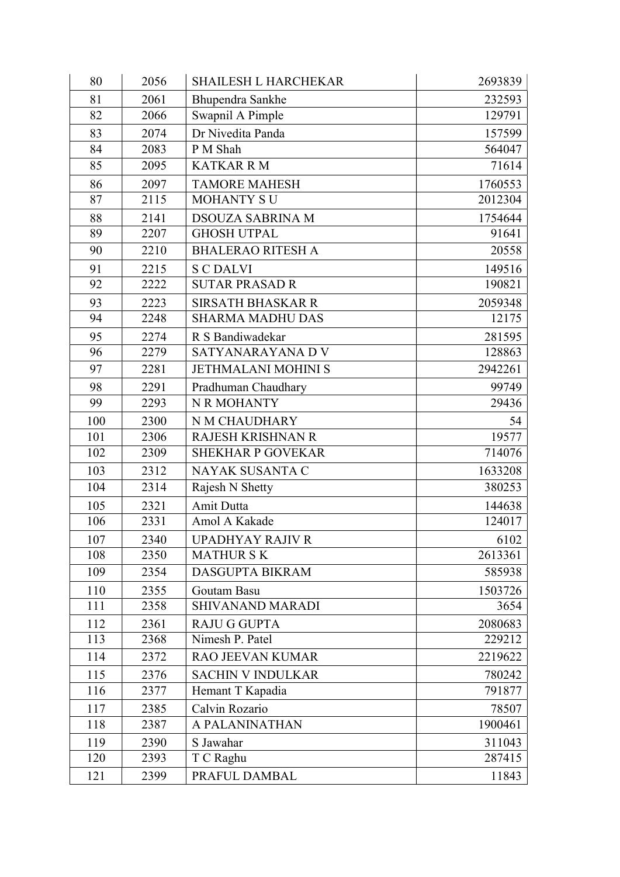| 80  | 2056 | <b>SHAILESH L HARCHEKAR</b> | 2693839 |
|-----|------|-----------------------------|---------|
| 81  | 2061 | Bhupendra Sankhe            | 232593  |
| 82  | 2066 | Swapnil A Pimple            | 129791  |
| 83  | 2074 | Dr Nivedita Panda           | 157599  |
| 84  | 2083 | P M Shah                    | 564047  |
| 85  | 2095 | <b>KATKAR R M</b>           | 71614   |
| 86  | 2097 | <b>TAMORE MAHESH</b>        | 1760553 |
| 87  | 2115 | <b>MOHANTY SU</b>           | 2012304 |
| 88  | 2141 | <b>DSOUZA SABRINA M</b>     | 1754644 |
| 89  | 2207 | <b>GHOSH UTPAL</b>          | 91641   |
| 90  | 2210 | <b>BHALERAO RITESH A</b>    | 20558   |
| 91  | 2215 | <b>S C DALVI</b>            | 149516  |
| 92  | 2222 | <b>SUTAR PRASAD R</b>       | 190821  |
| 93  | 2223 | <b>SIRSATH BHASKAR R</b>    | 2059348 |
| 94  | 2248 | <b>SHARMA MADHU DAS</b>     | 12175   |
| 95  | 2274 | R S Bandiwadekar            | 281595  |
| 96  | 2279 | SATYANARAYANA D V           | 128863  |
| 97  | 2281 | <b>JETHMALANI MOHINI S</b>  | 2942261 |
| 98  | 2291 | Pradhuman Chaudhary         | 99749   |
| 99  | 2293 | N R MOHANTY                 | 29436   |
| 100 | 2300 | N M CHAUDHARY               | 54      |
| 101 | 2306 | <b>RAJESH KRISHNAN R</b>    | 19577   |
| 102 | 2309 | <b>SHEKHAR P GOVEKAR</b>    | 714076  |
| 103 | 2312 | NAYAK SUSANTA C             | 1633208 |
| 104 | 2314 | Rajesh N Shetty             | 380253  |
| 105 | 2321 | Amit Dutta                  | 144638  |
| 106 | 2331 | Amol A Kakade               | 124017  |
| 107 | 2340 | <b>UPADHYAY RAJIV R</b>     | 6102    |
| 108 | 2350 | <b>MATHUR S K</b>           | 2613361 |
| 109 | 2354 | <b>DASGUPTA BIKRAM</b>      | 585938  |
| 110 | 2355 | Goutam Basu                 | 1503726 |
| 111 | 2358 | <b>SHIVANAND MARADI</b>     | 3654    |
| 112 | 2361 | <b>RAJU G GUPTA</b>         | 2080683 |
| 113 | 2368 | Nimesh P. Patel             | 229212  |
| 114 | 2372 | <b>RAO JEEVAN KUMAR</b>     | 2219622 |
| 115 | 2376 | <b>SACHIN V INDULKAR</b>    | 780242  |
| 116 | 2377 | Hemant T Kapadia            | 791877  |
| 117 | 2385 | Calvin Rozario              | 78507   |
| 118 | 2387 | A PALANINATHAN              | 1900461 |
| 119 | 2390 | S Jawahar                   | 311043  |
| 120 | 2393 | T C Raghu                   | 287415  |
| 121 | 2399 | PRAFUL DAMBAL               | 11843   |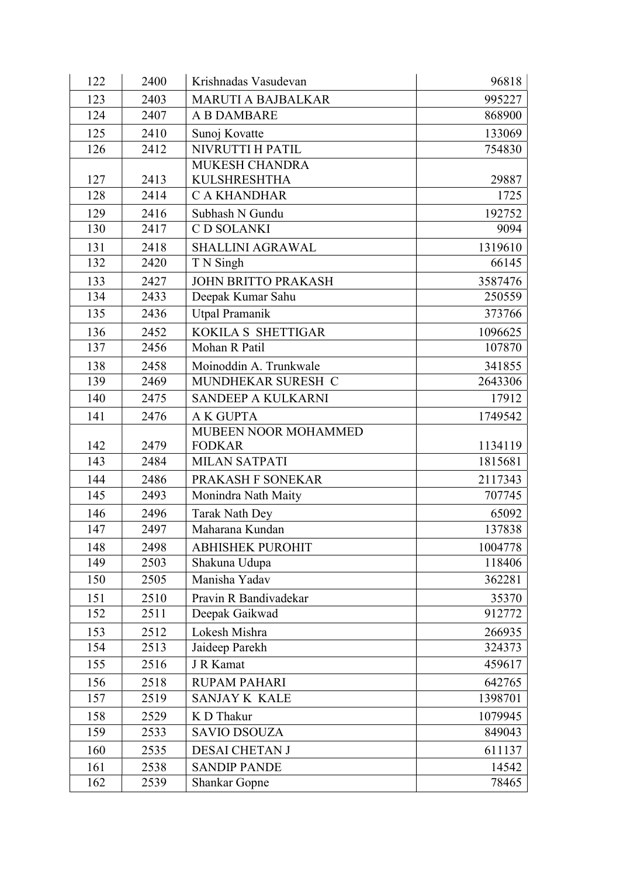| 122 | 2400 | Krishnadas Vasudevan       | 96818   |
|-----|------|----------------------------|---------|
| 123 | 2403 | <b>MARUTI A BAJBALKAR</b>  | 995227  |
| 124 | 2407 | A B DAMBARE                | 868900  |
| 125 | 2410 | Sunoj Kovatte              | 133069  |
| 126 | 2412 | NIVRUTTI H PATIL           | 754830  |
|     |      | MUKESH CHANDRA             |         |
| 127 | 2413 | <b>KULSHRESHTHA</b>        | 29887   |
| 128 | 2414 | <b>CAKHANDHAR</b>          | 1725    |
| 129 | 2416 | Subhash N Gundu            | 192752  |
| 130 | 2417 | C D SOLANKI                | 9094    |
| 131 | 2418 | <b>SHALLINI AGRAWAL</b>    | 1319610 |
| 132 | 2420 | T N Singh                  | 66145   |
| 133 | 2427 | <b>JOHN BRITTO PRAKASH</b> | 3587476 |
| 134 | 2433 | Deepak Kumar Sahu          | 250559  |
| 135 | 2436 | Utpal Pramanik             | 373766  |
| 136 | 2452 | KOKILA S SHETTIGAR         | 1096625 |
| 137 | 2456 | Mohan R Patil              | 107870  |
| 138 | 2458 | Moinoddin A. Trunkwale     | 341855  |
| 139 | 2469 | MUNDHEKAR SURESH C         | 2643306 |
| 140 | 2475 | SANDEEP A KULKARNI         | 17912   |
| 141 | 2476 | <b>AK GUPTA</b>            | 1749542 |
|     |      | MUBEEN NOOR MOHAMMED       |         |
| 142 | 2479 | <b>FODKAR</b>              | 1134119 |
| 143 | 2484 | <b>MILAN SATPATI</b>       | 1815681 |
| 144 | 2486 | PRAKASH F SONEKAR          | 2117343 |
| 145 | 2493 | Monindra Nath Maity        | 707745  |
| 146 | 2496 | Tarak Nath Dey             | 65092   |
| 147 | 2497 | Maharana Kundan            | 137838  |
| 148 | 2498 | <b>ABHISHEK PUROHIT</b>    | 1004778 |
| 149 | 2503 | Shakuna Udupa              | 118406  |
| 150 | 2505 | Manisha Yadav              | 362281  |
| 151 | 2510 | Pravin R Bandivadekar      | 35370   |
| 152 | 2511 | Deepak Gaikwad             | 912772  |
| 153 | 2512 | Lokesh Mishra              | 266935  |
| 154 | 2513 | Jaideep Parekh             | 324373  |
| 155 | 2516 | J R Kamat                  | 459617  |
| 156 | 2518 | <b>RUPAM PAHARI</b>        | 642765  |
| 157 | 2519 | SANJAY K KALE              | 1398701 |
| 158 | 2529 | K D Thakur                 | 1079945 |
| 159 | 2533 | <b>SAVIO DSOUZA</b>        | 849043  |
| 160 | 2535 | <b>DESAI CHETAN J</b>      | 611137  |
| 161 | 2538 | <b>SANDIP PANDE</b>        | 14542   |
| 162 | 2539 | <b>Shankar Gopne</b>       | 78465   |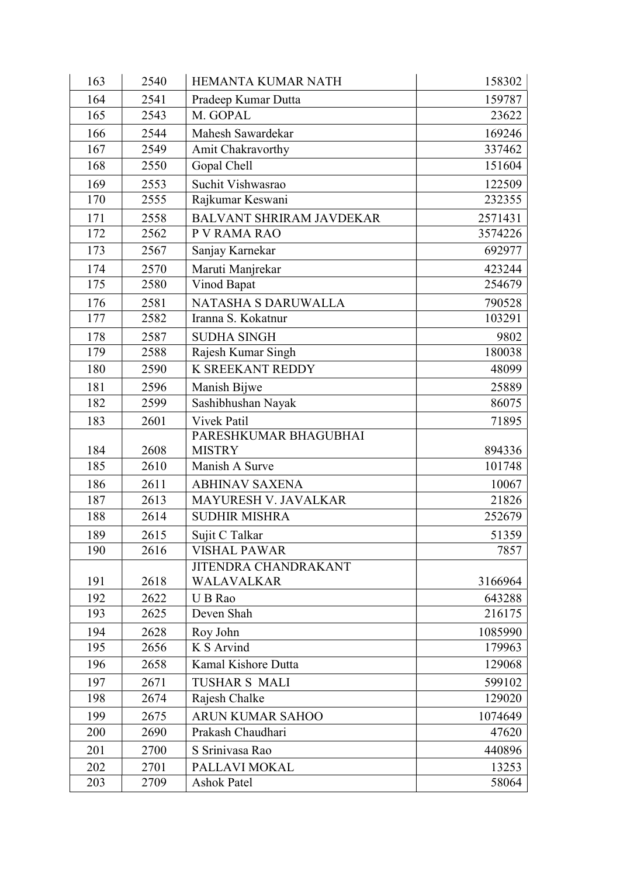| 163        | 2540         | <b>HEMANTA KUMAR NATH</b>             | 158302            |
|------------|--------------|---------------------------------------|-------------------|
| 164        | 2541         | Pradeep Kumar Dutta                   | 159787            |
| 165        | 2543         | M. GOPAL                              | 23622             |
| 166        | 2544         | Mahesh Sawardekar                     | 169246            |
| 167        | 2549         | Amit Chakravorthy                     | 337462            |
| 168        | 2550         | Gopal Chell                           | 151604            |
| 169        | 2553         | Suchit Vishwasrao                     | 122509            |
| 170        | 2555         | Rajkumar Keswani                      | 232355            |
| 171        | 2558         | <b>BALVANT SHRIRAM JAVDEKAR</b>       | 2571431           |
| 172        | 2562         | P V RAMA RAO                          | 3574226           |
| 173        | 2567         | Sanjay Karnekar                       | 692977            |
| 174        | 2570         | Maruti Manjrekar                      | 423244            |
| 175        | 2580         | Vinod Bapat                           | 254679            |
| 176        | 2581         | NATASHA S DARUWALLA                   | 790528            |
| 177        | 2582         | Iranna S. Kokatnur                    | 103291            |
| 178        | 2587         | <b>SUDHA SINGH</b>                    | 9802              |
| 179        | 2588         | Rajesh Kumar Singh                    | 180038            |
| 180        | 2590         | K SREEKANT REDDY                      | 48099             |
| 181        | 2596         | Manish Bijwe                          | 25889             |
| 182        | 2599         | Sashibhushan Nayak                    | 86075             |
| 183        | 2601         | Vivek Patil                           | 71895             |
|            |              | PARESHKUMAR BHAGUBHAI                 |                   |
| 184        | 2608         | <b>MISTRY</b>                         | 894336            |
| 185        | 2610         | Manish A Surve                        | 101748            |
| 186        | 2611         | <b>ABHINAV SAXENA</b>                 | 10067             |
| 187        | 2613         | MAYURESH V. JAVALKAR                  | 21826             |
| 188        | 2614         | <b>SUDHIR MISHRA</b>                  | 252679            |
| 189        | 2615         | Sujit C Talkar                        | 51359             |
| 190        | 2616         | <b>VISHAL PAWAR</b>                   | 7857              |
|            |              | <b>JITENDRA CHANDRAKANT</b>           |                   |
| 191        | 2618         | WALAVALKAR                            | 3166964           |
| 192<br>193 | 2622<br>2625 | U B Rao<br>Deven Shah                 | 643288<br>216175  |
|            |              |                                       |                   |
| 194<br>195 | 2628<br>2656 | Roy John<br>K S Arvind                | 1085990<br>179963 |
| 196        | 2658         | Kamal Kishore Dutta                   | 129068            |
|            |              |                                       |                   |
| 197<br>198 | 2671<br>2674 | <b>TUSHAR S MALI</b>                  | 599102<br>129020  |
|            |              | Rajesh Chalke                         |                   |
| 199        | 2675         | ARUN KUMAR SAHOO<br>Prakash Chaudhari | 1074649           |
| 200        | 2690         |                                       | 47620             |
| 201        | 2700         | S Srinivasa Rao                       | 440896            |
| 202        | 2701         | PALLAVI MOKAL                         | 13253             |
| 203        | 2709         | <b>Ashok Patel</b>                    | 58064             |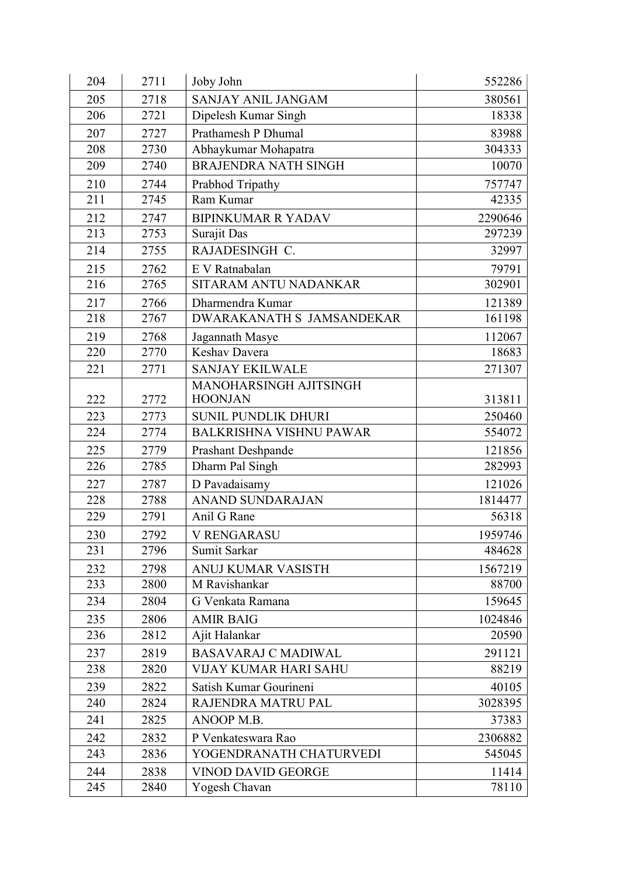| 204 | 2711 | Joby John                      | 552286  |
|-----|------|--------------------------------|---------|
| 205 | 2718 | SANJAY ANIL JANGAM             | 380561  |
| 206 | 2721 | Dipelesh Kumar Singh           | 18338   |
| 207 | 2727 | Prathamesh P Dhumal            | 83988   |
| 208 | 2730 | Abhaykumar Mohapatra           | 304333  |
| 209 | 2740 | <b>BRAJENDRA NATH SINGH</b>    | 10070   |
| 210 | 2744 | Prabhod Tripathy               | 757747  |
| 211 | 2745 | Ram Kumar                      | 42335   |
| 212 | 2747 | <b>BIPINKUMAR R YADAV</b>      | 2290646 |
| 213 | 2753 | Surajit Das                    | 297239  |
| 214 | 2755 | RAJADESINGH C.                 | 32997   |
| 215 | 2762 | E V Ratnabalan                 | 79791   |
| 216 | 2765 | SITARAM ANTU NADANKAR          | 302901  |
| 217 | 2766 | Dharmendra Kumar               | 121389  |
| 218 | 2767 | DWARAKANATH S JAMSANDEKAR      | 161198  |
| 219 | 2768 | Jagannath Masye                | 112067  |
| 220 | 2770 | Keshav Davera                  | 18683   |
| 221 | 2771 | <b>SANJAY EKILWALE</b>         | 271307  |
|     |      | MANOHARSINGH AJITSINGH         |         |
| 222 | 2772 | <b>HOONJAN</b>                 | 313811  |
| 223 | 2773 | SUNIL PUNDLIK DHURI            | 250460  |
| 224 | 2774 | <b>BALKRISHNA VISHNU PAWAR</b> | 554072  |
| 225 | 2779 | <b>Prashant Deshpande</b>      | 121856  |
| 226 | 2785 | Dharm Pal Singh                | 282993  |
| 227 | 2787 | D Pavadaisamy                  | 121026  |
| 228 | 2788 | <b>ANAND SUNDARAJAN</b>        | 1814477 |
| 229 | 2791 | Anil G Rane                    | 56318   |
| 230 | 2792 | <b>V RENGARASU</b>             | 1959746 |
| 231 | 2796 | Sumit Sarkar                   | 484628  |
| 232 | 2798 | ANUJ KUMAR VASISTH             | 1567219 |
| 233 | 2800 | M Ravishankar                  | 88700   |
| 234 | 2804 | G Venkata Ramana               | 159645  |
| 235 | 2806 | <b>AMIR BAIG</b>               | 1024846 |
| 236 | 2812 | Ajit Halankar                  | 20590   |
| 237 | 2819 | <b>BASAVARAJ C MADIWAL</b>     | 291121  |
| 238 | 2820 | <b>VIJAY KUMAR HARI SAHU</b>   | 88219   |
| 239 | 2822 | Satish Kumar Gourineni         | 40105   |
| 240 | 2824 | RAJENDRA MATRU PAL             | 3028395 |
| 241 | 2825 | ANOOP M.B.                     | 37383   |
| 242 | 2832 | P Venkateswara Rao             | 2306882 |
| 243 | 2836 | YOGENDRANATH CHATURVEDI        | 545045  |
| 244 | 2838 | <b>VINOD DAVID GEORGE</b>      | 11414   |
| 245 | 2840 | Yogesh Chavan                  | 78110   |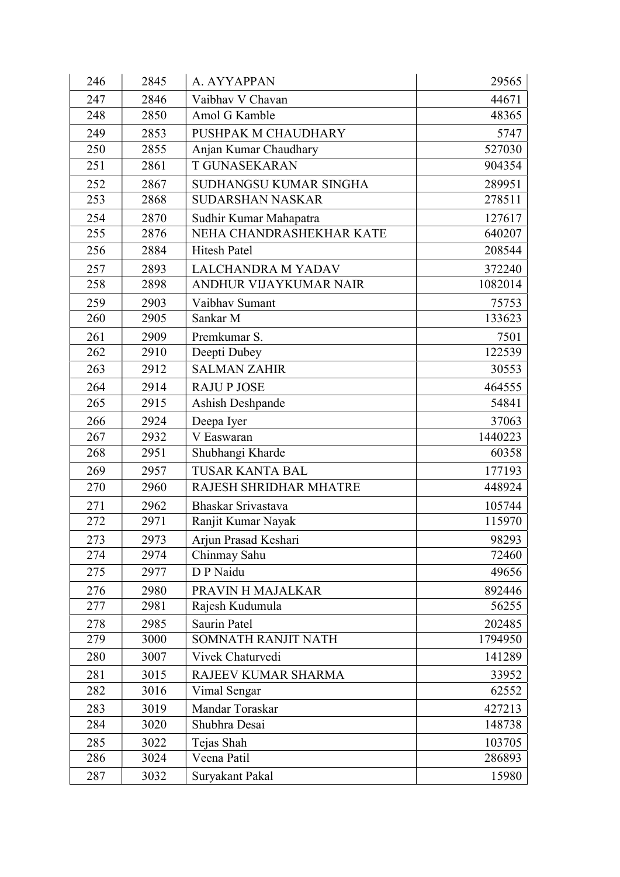| 246 | 2845 | A. AYYAPPAN              | 29565   |
|-----|------|--------------------------|---------|
| 247 | 2846 | Vaibhav V Chavan         | 44671   |
| 248 | 2850 | Amol G Kamble            | 48365   |
| 249 | 2853 | PUSHPAK M CHAUDHARY      | 5747    |
| 250 | 2855 | Anjan Kumar Chaudhary    | 527030  |
| 251 | 2861 | <b>T GUNASEKARAN</b>     | 904354  |
| 252 | 2867 | SUDHANGSU KUMAR SINGHA   | 289951  |
| 253 | 2868 | <b>SUDARSHAN NASKAR</b>  | 278511  |
| 254 | 2870 | Sudhir Kumar Mahapatra   | 127617  |
| 255 | 2876 | NEHA CHANDRASHEKHAR KATE | 640207  |
| 256 | 2884 | <b>Hitesh Patel</b>      | 208544  |
| 257 | 2893 | LALCHANDRA M YADAV       | 372240  |
| 258 | 2898 | ANDHUR VIJAYKUMAR NAIR   | 1082014 |
| 259 | 2903 | Vaibhav Sumant           | 75753   |
| 260 | 2905 | Sankar <sub>M</sub>      | 133623  |
| 261 | 2909 | Premkumar S.             | 7501    |
| 262 | 2910 | Deepti Dubey             | 122539  |
| 263 | 2912 | <b>SALMAN ZAHIR</b>      | 30553   |
| 264 | 2914 | <b>RAJU P JOSE</b>       | 464555  |
| 265 | 2915 | Ashish Deshpande         | 54841   |
| 266 | 2924 | Deepa Iyer               | 37063   |
| 267 | 2932 | V Easwaran               | 1440223 |
| 268 | 2951 | Shubhangi Kharde         | 60358   |
| 269 | 2957 | <b>TUSAR KANTA BAL</b>   | 177193  |
| 270 | 2960 | RAJESH SHRIDHAR MHATRE   | 448924  |
| 271 | 2962 | Bhaskar Srivastava       | 105744  |
| 272 | 2971 | Ranjit Kumar Nayak       | 115970  |
| 273 | 2973 | Arjun Prasad Keshari     | 98293   |
| 274 | 2974 | Chinmay Sahu             | 72460   |
| 275 | 2977 | D P Naidu                | 49656   |
| 276 | 2980 | PRAVIN H MAJALKAR        | 892446  |
| 277 | 2981 | Rajesh Kudumula          | 56255   |
| 278 | 2985 | Saurin Patel             | 202485  |
| 279 | 3000 | SOMNATH RANJIT NATH      | 1794950 |
| 280 | 3007 | Vivek Chaturvedi         | 141289  |
| 281 | 3015 | RAJEEV KUMAR SHARMA      | 33952   |
| 282 | 3016 | Vimal Sengar             | 62552   |
| 283 | 3019 | Mandar Toraskar          | 427213  |
| 284 | 3020 | Shubhra Desai            | 148738  |
| 285 | 3022 | Tejas Shah               | 103705  |
| 286 | 3024 | Veena Patil              | 286893  |
| 287 | 3032 | Suryakant Pakal          | 15980   |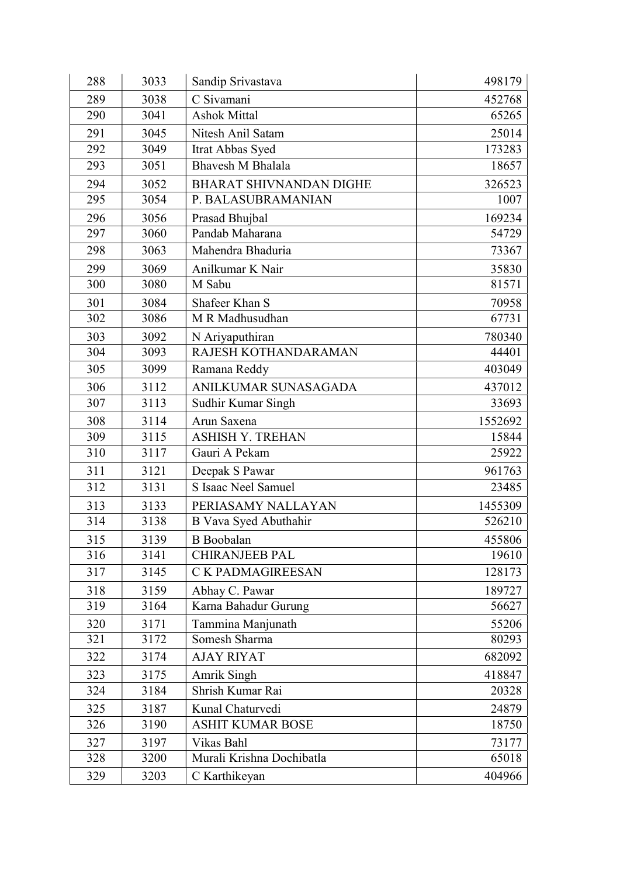| 288 | 3033 | Sandip Srivastava         | 498179  |
|-----|------|---------------------------|---------|
| 289 | 3038 | C Sivamani                | 452768  |
| 290 | 3041 | <b>Ashok Mittal</b>       | 65265   |
| 291 | 3045 | Nitesh Anil Satam         | 25014   |
| 292 | 3049 | Itrat Abbas Syed          | 173283  |
| 293 | 3051 | Bhavesh M Bhalala         | 18657   |
| 294 | 3052 | BHARAT SHIVNANDAN DIGHE   | 326523  |
| 295 | 3054 | P. BALASUBRAMANIAN        | 1007    |
| 296 | 3056 | Prasad Bhujbal            | 169234  |
| 297 | 3060 | Pandab Maharana           | 54729   |
| 298 | 3063 | Mahendra Bhaduria         | 73367   |
| 299 | 3069 | Anilkumar K Nair          | 35830   |
| 300 | 3080 | M Sabu                    | 81571   |
| 301 | 3084 | Shafeer Khan S            | 70958   |
| 302 | 3086 | M R Madhusudhan           | 67731   |
| 303 | 3092 | N Ariyaputhiran           | 780340  |
| 304 | 3093 | RAJESH KOTHANDARAMAN      | 44401   |
| 305 | 3099 | Ramana Reddy              | 403049  |
| 306 | 3112 | ANILKUMAR SUNASAGADA      | 437012  |
| 307 | 3113 | Sudhir Kumar Singh        | 33693   |
| 308 | 3114 | Arun Saxena               | 1552692 |
| 309 | 3115 | <b>ASHISH Y. TREHAN</b>   | 15844   |
| 310 | 3117 | Gauri A Pekam             | 25922   |
| 311 | 3121 | Deepak S Pawar            | 961763  |
| 312 | 3131 | S Isaac Neel Samuel       | 23485   |
| 313 | 3133 | PERIASAMY NALLAYAN        | 1455309 |
| 314 | 3138 | B Vava Syed Abuthahir     | 526210  |
| 315 | 3139 | <b>B</b> Boobalan         | 455806  |
| 316 | 3141 | <b>CHIRANJEEB PAL</b>     | 19610   |
| 317 | 3145 | C K PADMAGIREESAN         | 128173  |
| 318 | 3159 | Abhay C. Pawar            | 189727  |
| 319 | 3164 | Karna Bahadur Gurung      | 56627   |
| 320 | 3171 | Tammina Manjunath         | 55206   |
| 321 | 3172 | Somesh Sharma             | 80293   |
| 322 | 3174 | <b>AJAY RIYAT</b>         | 682092  |
| 323 | 3175 | Amrik Singh               | 418847  |
| 324 | 3184 | Shrish Kumar Rai          | 20328   |
| 325 | 3187 | Kunal Chaturvedi          | 24879   |
| 326 | 3190 | <b>ASHIT KUMAR BOSE</b>   | 18750   |
| 327 | 3197 | Vikas Bahl                | 73177   |
| 328 | 3200 | Murali Krishna Dochibatla | 65018   |
| 329 | 3203 | C Karthikeyan             | 404966  |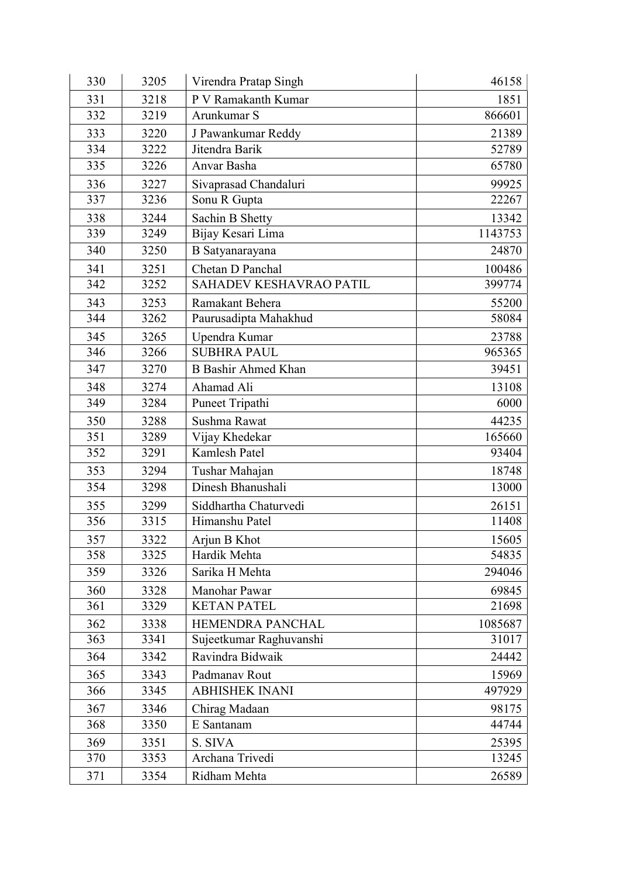| 330 | 3205 | Virendra Pratap Singh      | 46158   |
|-----|------|----------------------------|---------|
| 331 | 3218 | P V Ramakanth Kumar        | 1851    |
| 332 | 3219 | Arunkumar S                | 866601  |
| 333 | 3220 | J Pawankumar Reddy         | 21389   |
| 334 | 3222 | Jitendra Barik             | 52789   |
| 335 | 3226 | Anvar Basha                | 65780   |
| 336 | 3227 | Sivaprasad Chandaluri      | 99925   |
| 337 | 3236 | Sonu R Gupta               | 22267   |
| 338 | 3244 | Sachin B Shetty            | 13342   |
| 339 | 3249 | Bijay Kesari Lima          | 1143753 |
| 340 | 3250 | B Satyanarayana            | 24870   |
| 341 | 3251 | Chetan D Panchal           | 100486  |
| 342 | 3252 | SAHADEV KESHAVRAO PATIL    | 399774  |
| 343 | 3253 | Ramakant Behera            | 55200   |
| 344 | 3262 | Paurusadipta Mahakhud      | 58084   |
| 345 | 3265 | Upendra Kumar              | 23788   |
| 346 | 3266 | <b>SUBHRA PAUL</b>         | 965365  |
| 347 | 3270 | <b>B</b> Bashir Ahmed Khan | 39451   |
| 348 | 3274 | Ahamad Ali                 | 13108   |
| 349 | 3284 | Puneet Tripathi            | 6000    |
| 350 | 3288 | Sushma Rawat               | 44235   |
| 351 | 3289 | Vijay Khedekar             | 165660  |
| 352 | 3291 | Kamlesh Patel              | 93404   |
| 353 | 3294 | Tushar Mahajan             | 18748   |
| 354 | 3298 | Dinesh Bhanushali          | 13000   |
| 355 | 3299 | Siddhartha Chaturvedi      | 26151   |
| 356 | 3315 | Himanshu Patel             | 11408   |
| 357 | 3322 | Arjun B Khot               | 15605   |
| 358 | 3325 | Hardik Mehta               | 54835   |
| 359 | 3326 | Sarika H Mehta             | 294046  |
| 360 | 3328 | Manohar Pawar              | 69845   |
| 361 | 3329 | <b>KETAN PATEL</b>         | 21698   |
| 362 | 3338 | HEMENDRA PANCHAL           | 1085687 |
| 363 | 3341 | Sujeetkumar Raghuvanshi    | 31017   |
| 364 | 3342 | Ravindra Bidwaik           | 24442   |
| 365 | 3343 | Padmanav Rout              | 15969   |
| 366 | 3345 | <b>ABHISHEK INANI</b>      | 497929  |
| 367 | 3346 | Chirag Madaan              | 98175   |
| 368 | 3350 | E Santanam                 | 44744   |
| 369 | 3351 | S. SIVA                    | 25395   |
| 370 | 3353 | Archana Trivedi            | 13245   |
| 371 | 3354 | Ridham Mehta               | 26589   |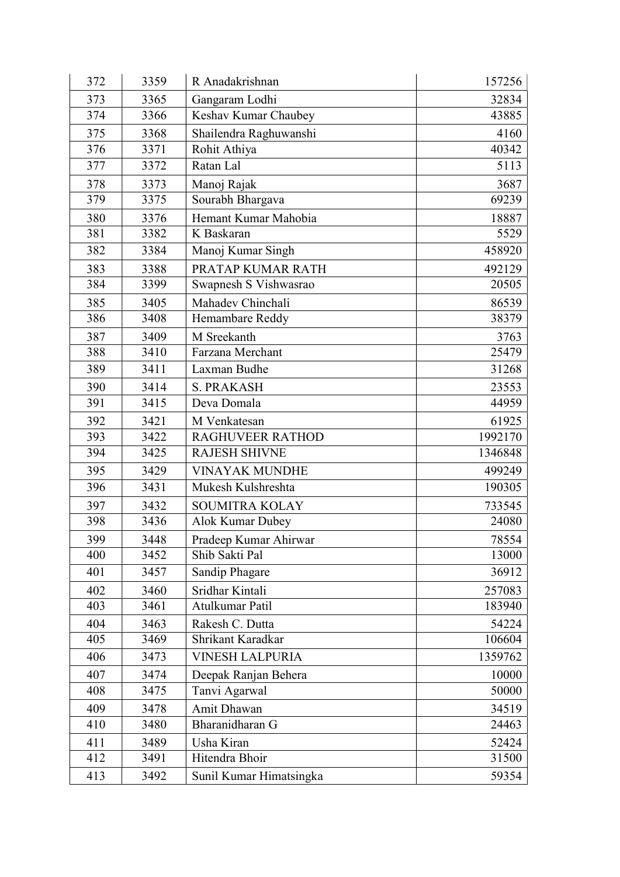| 372 | 3359 | R Anadakrishnan         | 157256  |
|-----|------|-------------------------|---------|
| 373 | 3365 | Gangaram Lodhi          | 32834   |
| 374 | 3366 | Keshav Kumar Chaubey    | 43885   |
| 375 | 3368 | Shailendra Raghuwanshi  | 4160    |
| 376 | 3371 | Rohit Athiya            | 40342   |
| 377 | 3372 | Ratan Lal               | 5113    |
| 378 | 3373 | Manoj Rajak             | 3687    |
| 379 | 3375 | Sourabh Bhargava        | 69239   |
| 380 | 3376 | Hemant Kumar Mahobia    | 18887   |
| 381 | 3382 | K Baskaran              | 5529    |
| 382 | 3384 | Manoj Kumar Singh       | 458920  |
| 383 | 3388 | PRATAP KUMAR RATH       | 492129  |
| 384 | 3399 | Swapnesh S Vishwasrao   | 20505   |
| 385 | 3405 | Mahadev Chinchali       | 86539   |
| 386 | 3408 | Hemambare Reddy         | 38379   |
| 387 | 3409 | M Sreekanth             | 3763    |
| 388 | 3410 | Farzana Merchant        | 25479   |
| 389 | 3411 | Laxman Budhe            | 31268   |
| 390 | 3414 | <b>S. PRAKASH</b>       | 23553   |
| 391 | 3415 | Deva Domala             | 44959   |
| 392 | 3421 | M Venkatesan            | 61925   |
| 393 | 3422 | <b>RAGHUVEER RATHOD</b> | 1992170 |
| 394 | 3425 | <b>RAJESH SHIVNE</b>    | 1346848 |
| 395 | 3429 | <b>VINAYAK MUNDHE</b>   | 499249  |
| 396 | 3431 | Mukesh Kulshreshta      | 190305  |
| 397 | 3432 | <b>SOUMITRA KOLAY</b>   | 733545  |
| 398 | 3436 | <b>Alok Kumar Dubey</b> | 24080   |
| 399 | 3448 | Pradeep Kumar Ahirwar   | 78554   |
| 400 | 3452 | Shib Sakti Pal          | 13000   |
| 401 | 3457 | Sandip Phagare          | 36912   |
| 402 | 3460 | Sridhar Kintali         | 257083  |
| 403 | 3461 | Atulkumar Patil         | 183940  |
| 404 | 3463 | Rakesh C. Dutta         | 54224   |
| 405 | 3469 | Shrikant Karadkar       | 106604  |
| 406 | 3473 | <b>VINESH LALPURIA</b>  | 1359762 |
| 407 | 3474 | Deepak Ranjan Behera    | 10000   |
| 408 | 3475 | Tanvi Agarwal           | 50000   |
| 409 | 3478 | Amit Dhawan             | 34519   |
| 410 | 3480 | Bharanidharan G         | 24463   |
| 411 | 3489 | Usha Kiran              | 52424   |
| 412 | 3491 | Hitendra Bhoir          | 31500   |
| 413 | 3492 | Sunil Kumar Himatsingka | 59354   |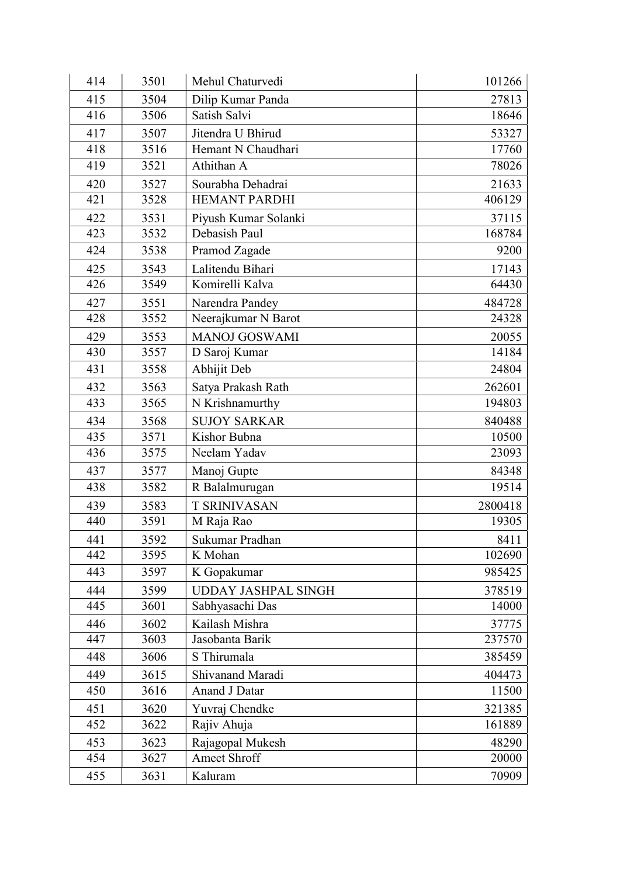| 414 | 3501 | Mehul Chaturvedi           | 101266  |
|-----|------|----------------------------|---------|
| 415 | 3504 | Dilip Kumar Panda          | 27813   |
| 416 | 3506 | Satish Salvi               | 18646   |
| 417 | 3507 | Jitendra U Bhirud          | 53327   |
| 418 | 3516 | Hemant N Chaudhari         | 17760   |
| 419 | 3521 | Athithan A                 | 78026   |
| 420 | 3527 | Sourabha Dehadrai          | 21633   |
| 421 | 3528 | <b>HEMANT PARDHI</b>       | 406129  |
| 422 | 3531 | Piyush Kumar Solanki       | 37115   |
| 423 | 3532 | Debasish Paul              | 168784  |
| 424 | 3538 | Pramod Zagade              | 9200    |
| 425 | 3543 | Lalitendu Bihari           | 17143   |
| 426 | 3549 | Komirelli Kalva            | 64430   |
| 427 | 3551 | Narendra Pandey            | 484728  |
| 428 | 3552 | Neerajkumar N Barot        | 24328   |
| 429 | 3553 | <b>MANOJ GOSWAMI</b>       | 20055   |
| 430 | 3557 | D Saroj Kumar              | 14184   |
| 431 | 3558 | Abhijit Deb                | 24804   |
| 432 | 3563 | Satya Prakash Rath         | 262601  |
| 433 | 3565 | N Krishnamurthy            | 194803  |
| 434 | 3568 | <b>SUJOY SARKAR</b>        | 840488  |
| 435 | 3571 | Kishor Bubna               | 10500   |
| 436 | 3575 | Neelam Yadav               | 23093   |
| 437 | 3577 | Manoj Gupte                | 84348   |
| 438 | 3582 | R Balalmurugan             | 19514   |
| 439 | 3583 | <b>T SRINIVASAN</b>        | 2800418 |
| 440 | 3591 | M Raja Rao                 | 19305   |
| 441 | 3592 | Sukumar Pradhan            | 8411    |
| 442 | 3595 | K Mohan                    | 102690  |
| 443 | 3597 | K Gopakumar                | 985425  |
| 444 | 3599 | <b>UDDAY JASHPAL SINGH</b> | 378519  |
| 445 | 3601 | Sabhyasachi Das            | 14000   |
| 446 | 3602 | Kailash Mishra             | 37775   |
| 447 | 3603 | Jasobanta Barik            | 237570  |
| 448 | 3606 | S Thirumala                | 385459  |
| 449 | 3615 | Shivanand Maradi           | 404473  |
| 450 | 3616 | Anand J Datar              | 11500   |
| 451 | 3620 | Yuvraj Chendke             | 321385  |
| 452 | 3622 | Rajiv Ahuja                | 161889  |
| 453 | 3623 | Rajagopal Mukesh           | 48290   |
| 454 | 3627 | Ameet Shroff               | 20000   |
| 455 | 3631 | Kaluram                    | 70909   |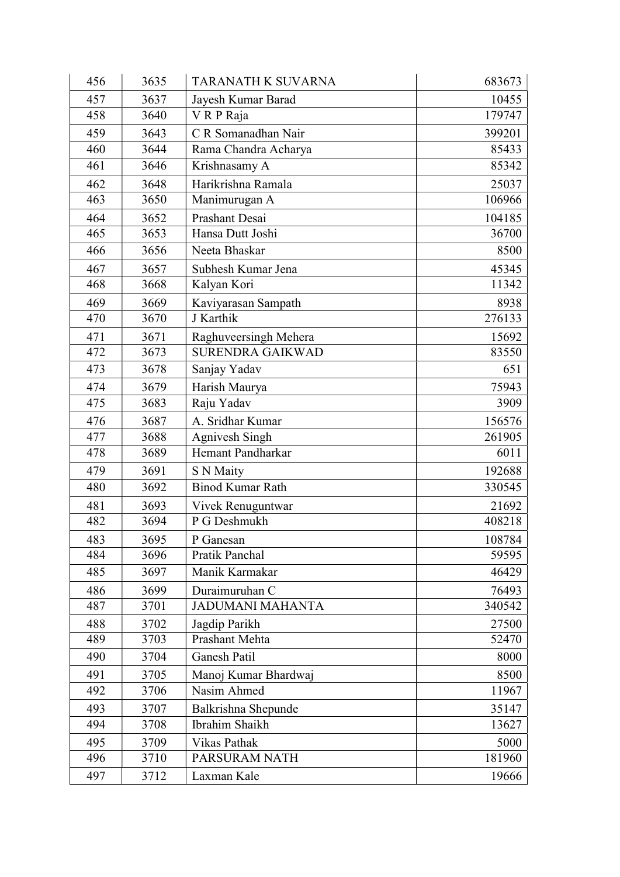| 456 | 3635 | <b>TARANATH K SUVARNA</b> | 683673 |
|-----|------|---------------------------|--------|
| 457 | 3637 | Jayesh Kumar Barad        | 10455  |
| 458 | 3640 | VRP Raja                  | 179747 |
| 459 | 3643 | C R Somanadhan Nair       | 399201 |
| 460 | 3644 | Rama Chandra Acharya      | 85433  |
| 461 | 3646 | Krishnasamy A             | 85342  |
| 462 | 3648 | Harikrishna Ramala        | 25037  |
| 463 | 3650 | Manimurugan A             | 106966 |
| 464 | 3652 | Prashant Desai            | 104185 |
| 465 | 3653 | Hansa Dutt Joshi          | 36700  |
| 466 | 3656 | Neeta Bhaskar             | 8500   |
| 467 | 3657 | Subhesh Kumar Jena        | 45345  |
| 468 | 3668 | Kalyan Kori               | 11342  |
| 469 | 3669 | Kaviyarasan Sampath       | 8938   |
| 470 | 3670 | J Karthik                 | 276133 |
| 471 | 3671 | Raghuveersingh Mehera     | 15692  |
| 472 | 3673 | <b>SURENDRA GAIKWAD</b>   | 83550  |
| 473 | 3678 | Sanjay Yadav              | 651    |
| 474 | 3679 | Harish Maurya             | 75943  |
| 475 | 3683 | Raju Yadav                | 3909   |
| 476 | 3687 | A. Sridhar Kumar          | 156576 |
| 477 | 3688 | Agnivesh Singh            | 261905 |
| 478 | 3689 | Hemant Pandharkar         | 6011   |
| 479 | 3691 | S N Maity                 | 192688 |
| 480 | 3692 | <b>Binod Kumar Rath</b>   | 330545 |
| 481 | 3693 | Vivek Renuguntwar         | 21692  |
| 482 | 3694 | P G Deshmukh              | 408218 |
| 483 | 3695 | P Ganesan                 | 108784 |
| 484 | 3696 | Pratik Panchal            | 59595  |
| 485 | 3697 | Manik Karmakar            | 46429  |
| 486 | 3699 | Duraimuruhan C            | 76493  |
| 487 | 3701 | <b>JADUMANI MAHANTA</b>   | 340542 |
| 488 | 3702 | Jagdip Parikh             | 27500  |
| 489 | 3703 | Prashant Mehta            | 52470  |
| 490 | 3704 | Ganesh Patil              | 8000   |
| 491 | 3705 | Manoj Kumar Bhardwaj      | 8500   |
| 492 | 3706 | Nasim Ahmed               | 11967  |
| 493 | 3707 | Balkrishna Shepunde       | 35147  |
| 494 | 3708 | Ibrahim Shaikh            | 13627  |
| 495 | 3709 | Vikas Pathak              | 5000   |
| 496 | 3710 | PARSURAM NATH             | 181960 |
| 497 | 3712 | Laxman Kale               | 19666  |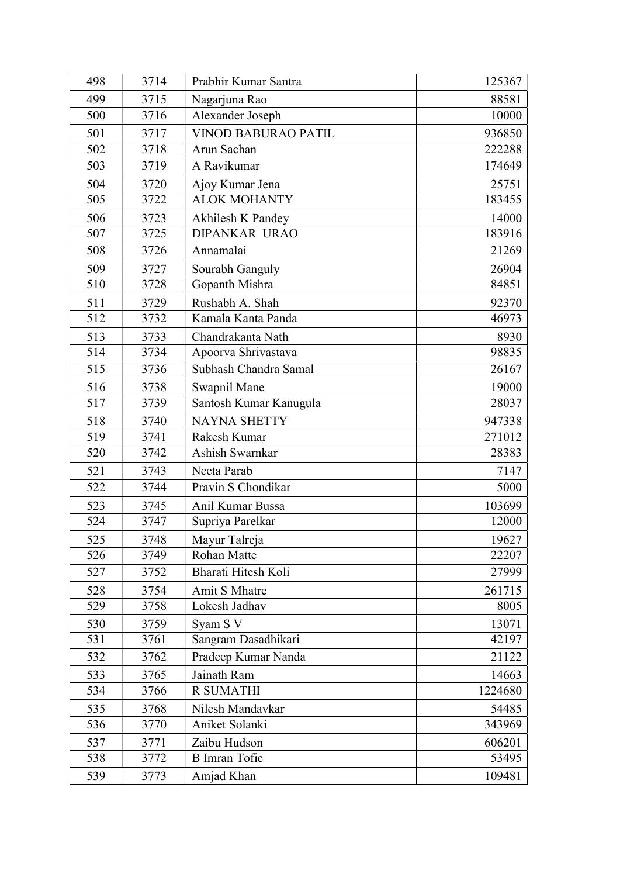| 498 | 3714 | Prabhir Kumar Santra       | 125367  |
|-----|------|----------------------------|---------|
| 499 | 3715 | Nagarjuna Rao              | 88581   |
| 500 | 3716 | Alexander Joseph           | 10000   |
| 501 | 3717 | <b>VINOD BABURAO PATIL</b> | 936850  |
| 502 | 3718 | Arun Sachan                | 222288  |
| 503 | 3719 | A Ravikumar                | 174649  |
| 504 | 3720 | Ajoy Kumar Jena            | 25751   |
| 505 | 3722 | <b>ALOK MOHANTY</b>        | 183455  |
| 506 | 3723 | Akhilesh K Pandey          | 14000   |
| 507 | 3725 | <b>DIPANKAR URAO</b>       | 183916  |
| 508 | 3726 | Annamalai                  | 21269   |
| 509 | 3727 | Sourabh Ganguly            | 26904   |
| 510 | 3728 | Gopanth Mishra             | 84851   |
| 511 | 3729 | Rushabh A. Shah            | 92370   |
| 512 | 3732 | Kamala Kanta Panda         | 46973   |
| 513 | 3733 | Chandrakanta Nath          | 8930    |
| 514 | 3734 | Apoorva Shrivastava        | 98835   |
| 515 | 3736 | Subhash Chandra Samal      | 26167   |
| 516 | 3738 | Swapnil Mane               | 19000   |
| 517 | 3739 | Santosh Kumar Kanugula     | 28037   |
| 518 | 3740 | <b>NAYNA SHETTY</b>        | 947338  |
| 519 | 3741 | Rakesh Kumar               | 271012  |
| 520 | 3742 | Ashish Swarnkar            | 28383   |
| 521 | 3743 | Neeta Parab                | 7147    |
| 522 | 3744 | Pravin S Chondikar         | 5000    |
| 523 | 3745 | Anil Kumar Bussa           | 103699  |
| 524 | 3747 | Supriya Parelkar           | 12000   |
| 525 | 3748 | Mayur Talreja              | 19627   |
| 526 | 3749 | <b>Rohan Matte</b>         | 22207   |
| 527 | 3752 | Bharati Hitesh Koli        | 27999   |
| 528 | 3754 | Amit S Mhatre              | 261715  |
| 529 | 3758 | Lokesh Jadhav              | 8005    |
| 530 | 3759 | Syam S V                   | 13071   |
| 531 | 3761 | Sangram Dasadhikari        | 42197   |
| 532 | 3762 | Pradeep Kumar Nanda        | 21122   |
| 533 | 3765 | Jainath Ram                | 14663   |
| 534 | 3766 | <b>R SUMATHI</b>           | 1224680 |
| 535 | 3768 | Nilesh Mandavkar           | 54485   |
| 536 | 3770 | Aniket Solanki             | 343969  |
| 537 | 3771 | Zaibu Hudson               | 606201  |
| 538 | 3772 | <b>B</b> Imran Tofic       | 53495   |
| 539 | 3773 | Amjad Khan                 | 109481  |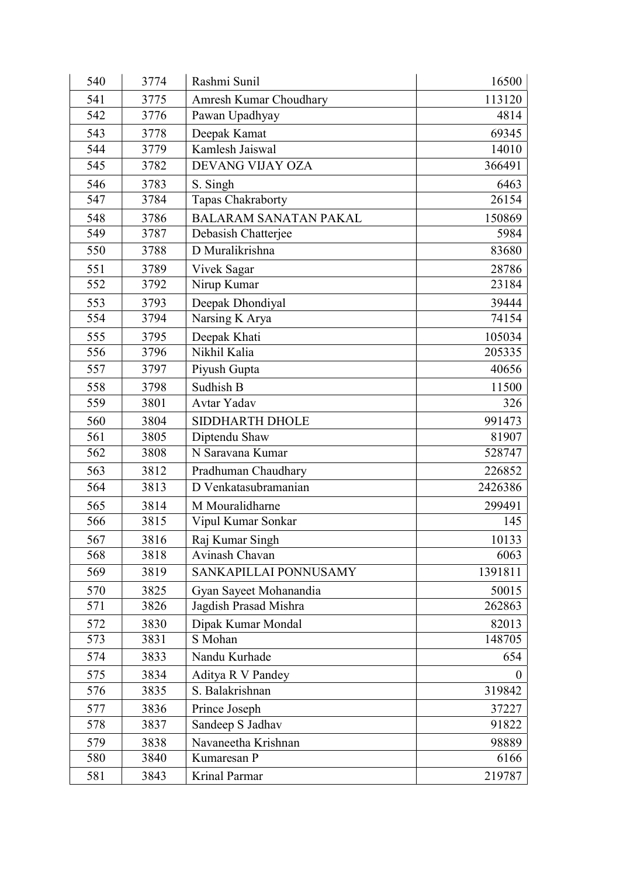| 540 | 3774 | Rashmi Sunil                 | 16500   |
|-----|------|------------------------------|---------|
| 541 | 3775 | Amresh Kumar Choudhary       | 113120  |
| 542 | 3776 | Pawan Upadhyay               | 4814    |
| 543 | 3778 | Deepak Kamat                 | 69345   |
| 544 | 3779 | Kamlesh Jaiswal              | 14010   |
| 545 | 3782 | DEVANG VIJAY OZA             | 366491  |
| 546 | 3783 | S. Singh                     | 6463    |
| 547 | 3784 | Tapas Chakraborty            | 26154   |
| 548 | 3786 | <b>BALARAM SANATAN PAKAL</b> | 150869  |
| 549 | 3787 | Debasish Chatterjee          | 5984    |
| 550 | 3788 | D Muralikrishna              | 83680   |
| 551 | 3789 | Vivek Sagar                  | 28786   |
| 552 | 3792 | Nirup Kumar                  | 23184   |
| 553 | 3793 | Deepak Dhondiyal             | 39444   |
| 554 | 3794 | Narsing K Arya               | 74154   |
| 555 | 3795 | Deepak Khati                 | 105034  |
| 556 | 3796 | Nikhil Kalia                 | 205335  |
| 557 | 3797 | Piyush Gupta                 | 40656   |
| 558 | 3798 | Sudhish B                    | 11500   |
| 559 | 3801 | Avtar Yadav                  | 326     |
| 560 | 3804 | <b>SIDDHARTH DHOLE</b>       | 991473  |
| 561 | 3805 | Diptendu Shaw                | 81907   |
| 562 | 3808 | N Saravana Kumar             | 528747  |
| 563 | 3812 | Pradhuman Chaudhary          | 226852  |
| 564 | 3813 | D Venkatasubramanian         | 2426386 |
| 565 | 3814 | M Mouralidharne              | 299491  |
| 566 | 3815 | Vipul Kumar Sonkar           | 145     |
| 567 | 3816 | Raj Kumar Singh              | 10133   |
| 568 | 3818 | Avinash Chavan               | 6063    |
| 569 | 3819 | SANKAPILLAI PONNUSAMY        | 1391811 |
| 570 | 3825 | Gyan Sayeet Mohanandia       | 50015   |
| 571 | 3826 | Jagdish Prasad Mishra        | 262863  |
| 572 | 3830 | Dipak Kumar Mondal           | 82013   |
| 573 | 3831 | S Mohan                      | 148705  |
| 574 | 3833 | Nandu Kurhade                | 654     |
| 575 | 3834 | Aditya R V Pandey            | 0       |
| 576 | 3835 | S. Balakrishnan              | 319842  |
| 577 | 3836 | Prince Joseph                | 37227   |
| 578 | 3837 | Sandeep S Jadhav             | 91822   |
| 579 | 3838 | Navaneetha Krishnan          | 98889   |
| 580 | 3840 | Kumaresan P                  | 6166    |
| 581 | 3843 | Krinal Parmar                | 219787  |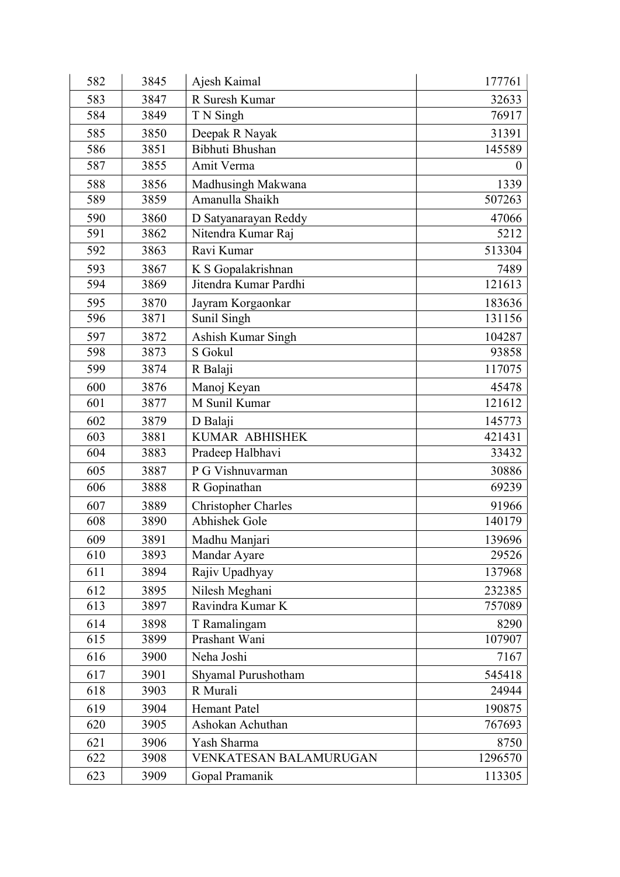| 582 | 3845 | Ajesh Kaimal               | 177761   |
|-----|------|----------------------------|----------|
| 583 | 3847 | R Suresh Kumar             | 32633    |
| 584 | 3849 | T N Singh                  | 76917    |
| 585 | 3850 | Deepak R Nayak             | 31391    |
| 586 | 3851 | Bibhuti Bhushan            | 145589   |
| 587 | 3855 | Amit Verma                 | $\theta$ |
| 588 | 3856 | Madhusingh Makwana         | 1339     |
| 589 | 3859 | Amanulla Shaikh            | 507263   |
| 590 | 3860 | D Satyanarayan Reddy       | 47066    |
| 591 | 3862 | Nitendra Kumar Raj         | 5212     |
| 592 | 3863 | Ravi Kumar                 | 513304   |
| 593 | 3867 | K S Gopalakrishnan         | 7489     |
| 594 | 3869 | Jitendra Kumar Pardhi      | 121613   |
| 595 | 3870 | Jayram Korgaonkar          | 183636   |
| 596 | 3871 | Sunil Singh                | 131156   |
| 597 | 3872 | Ashish Kumar Singh         | 104287   |
| 598 | 3873 | S Gokul                    | 93858    |
| 599 | 3874 | R Balaji                   | 117075   |
| 600 | 3876 | Manoj Keyan                | 45478    |
| 601 | 3877 | M Sunil Kumar              | 121612   |
| 602 | 3879 | D Balaji                   | 145773   |
| 603 | 3881 | <b>KUMAR ABHISHEK</b>      | 421431   |
| 604 | 3883 | Pradeep Halbhavi           | 33432    |
| 605 | 3887 | P G Vishnuvarman           | 30886    |
| 606 | 3888 | R Gopinathan               | 69239    |
| 607 | 3889 | <b>Christopher Charles</b> | 91966    |
| 608 | 3890 | Abhishek Gole              | 140179   |
| 609 | 3891 | Madhu Manjari              | 139696   |
| 610 | 3893 | Mandar Ayare               | 29526    |
| 611 | 3894 | Rajiv Upadhyay             | 137968   |
| 612 | 3895 | Nilesh Meghani             | 232385   |
| 613 | 3897 | Ravindra Kumar K           | 757089   |
| 614 | 3898 | T Ramalingam               | 8290     |
| 615 | 3899 | Prashant Wani              | 107907   |
| 616 | 3900 | Neha Joshi                 | 7167     |
| 617 | 3901 | Shyamal Purushotham        | 545418   |
| 618 | 3903 | R Murali                   | 24944    |
| 619 | 3904 | Hemant Patel               | 190875   |
| 620 | 3905 | Ashokan Achuthan           | 767693   |
| 621 | 3906 | Yash Sharma                | 8750     |
| 622 | 3908 | VENKATESAN BALAMURUGAN     | 1296570  |
| 623 | 3909 | Gopal Pramanik             | 113305   |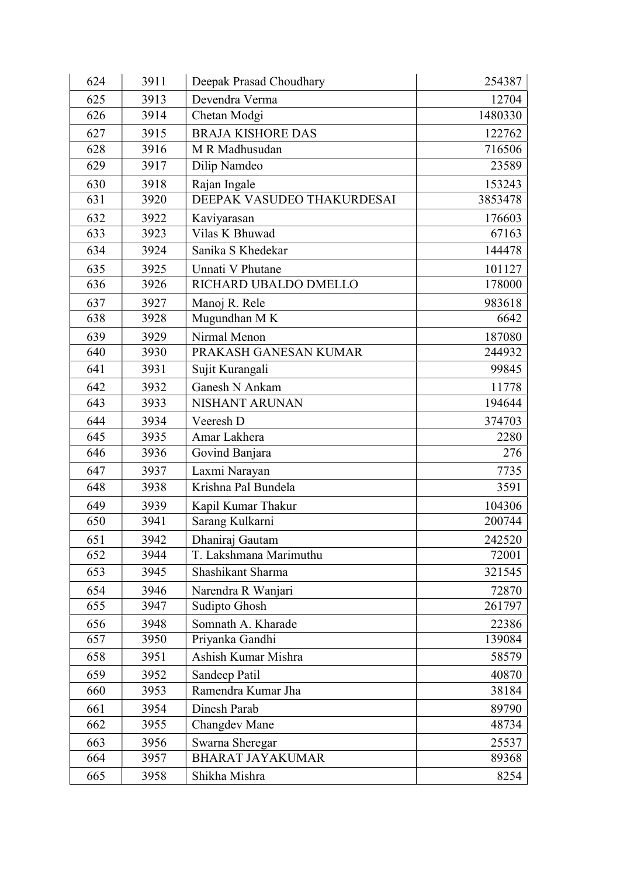| 624 | 3911 | Deepak Prasad Choudhary    | 254387  |
|-----|------|----------------------------|---------|
| 625 | 3913 | Devendra Verma             | 12704   |
| 626 | 3914 | Chetan Modgi               | 1480330 |
| 627 | 3915 | <b>BRAJA KISHORE DAS</b>   | 122762  |
| 628 | 3916 | M R Madhusudan             | 716506  |
| 629 | 3917 | Dilip Namdeo               | 23589   |
| 630 | 3918 | Rajan Ingale               | 153243  |
| 631 | 3920 | DEEPAK VASUDEO THAKURDESAI | 3853478 |
| 632 | 3922 | Kaviyarasan                | 176603  |
| 633 | 3923 | Vilas K Bhuwad             | 67163   |
| 634 | 3924 | Sanika S Khedekar          | 144478  |
| 635 | 3925 | Unnati V Phutane           | 101127  |
| 636 | 3926 | RICHARD UBALDO DMELLO      | 178000  |
| 637 | 3927 | Manoj R. Rele              | 983618  |
| 638 | 3928 | Mugundhan MK               | 6642    |
| 639 | 3929 | Nirmal Menon               | 187080  |
| 640 | 3930 | PRAKASH GANESAN KUMAR      | 244932  |
| 641 | 3931 | Sujit Kurangali            | 99845   |
| 642 | 3932 | Ganesh N Ankam             | 11778   |
| 643 | 3933 | NISHANT ARUNAN             | 194644  |
| 644 | 3934 | Veeresh D                  | 374703  |
| 645 | 3935 | Amar Lakhera               | 2280    |
| 646 | 3936 | Govind Banjara             | 276     |
| 647 | 3937 | Laxmi Narayan              | 7735    |
| 648 | 3938 | Krishna Pal Bundela        | 3591    |
| 649 | 3939 | Kapil Kumar Thakur         | 104306  |
| 650 | 3941 | Sarang Kulkarni            | 200744  |
| 651 | 3942 | Dhaniraj Gautam            | 242520  |
| 652 | 3944 | T. Lakshmana Marimuthu     | 72001   |
| 653 | 3945 | Shashikant Sharma          | 321545  |
| 654 | 3946 | Narendra R Wanjari         | 72870   |
| 655 | 3947 | Sudipto Ghosh              | 261797  |
| 656 | 3948 | Somnath A. Kharade         | 22386   |
| 657 | 3950 | Priyanka Gandhi            | 139084  |
| 658 | 3951 | Ashish Kumar Mishra        | 58579   |
| 659 | 3952 | Sandeep Patil              | 40870   |
| 660 | 3953 | Ramendra Kumar Jha         | 38184   |
| 661 | 3954 | Dinesh Parab               | 89790   |
| 662 | 3955 | <b>Changdev Mane</b>       | 48734   |
| 663 | 3956 | Swarna Sheregar            | 25537   |
| 664 | 3957 | <b>BHARAT JAYAKUMAR</b>    | 89368   |
| 665 | 3958 | Shikha Mishra              | 8254    |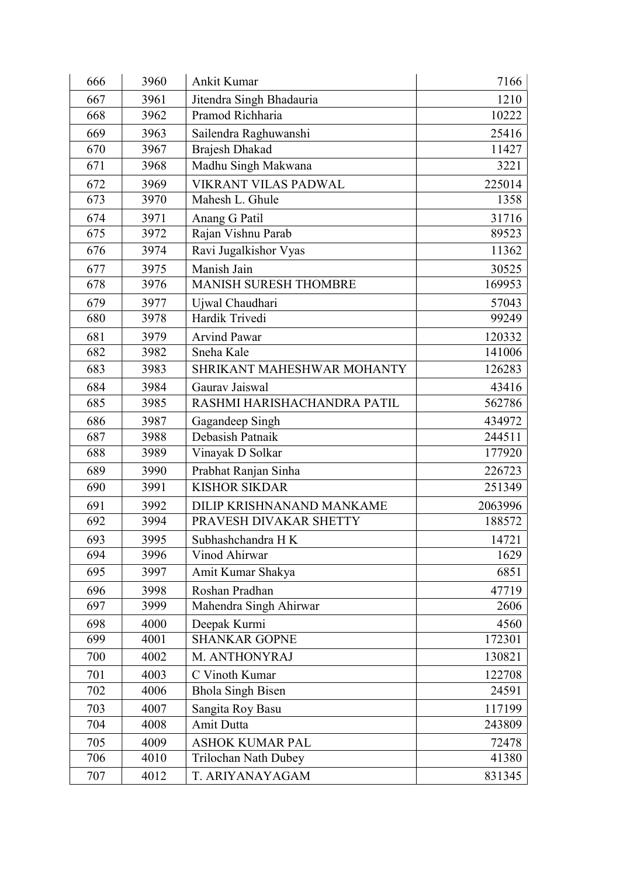| 666 | 3960 | Ankit Kumar                  | 7166    |
|-----|------|------------------------------|---------|
| 667 | 3961 | Jitendra Singh Bhadauria     | 1210    |
| 668 | 3962 | Pramod Richharia             | 10222   |
| 669 | 3963 | Sailendra Raghuwanshi        | 25416   |
| 670 | 3967 | <b>Brajesh Dhakad</b>        | 11427   |
| 671 | 3968 | Madhu Singh Makwana          | 3221    |
| 672 | 3969 | <b>VIKRANT VILAS PADWAL</b>  | 225014  |
| 673 | 3970 | Mahesh L. Ghule              | 1358    |
| 674 | 3971 | Anang G Patil                | 31716   |
| 675 | 3972 | Rajan Vishnu Parab           | 89523   |
| 676 | 3974 | Ravi Jugalkishor Vyas        | 11362   |
| 677 | 3975 | Manish Jain                  | 30525   |
| 678 | 3976 | <b>MANISH SURESH THOMBRE</b> | 169953  |
| 679 | 3977 | Ujwal Chaudhari              | 57043   |
| 680 | 3978 | Hardik Trivedi               | 99249   |
| 681 | 3979 | <b>Arvind Pawar</b>          | 120332  |
| 682 | 3982 | Sneha Kale                   | 141006  |
| 683 | 3983 | SHRIKANT MAHESHWAR MOHANTY   | 126283  |
| 684 | 3984 | Gaurav Jaiswal               | 43416   |
| 685 | 3985 | RASHMI HARISHACHANDRA PATIL  | 562786  |
| 686 | 3987 | Gagandeep Singh              | 434972  |
| 687 | 3988 | Debasish Patnaik             | 244511  |
| 688 | 3989 | Vinayak D Solkar             | 177920  |
| 689 | 3990 | Prabhat Ranjan Sinha         | 226723  |
| 690 | 3991 | <b>KISHOR SIKDAR</b>         | 251349  |
| 691 | 3992 | DILIP KRISHNANAND MANKAME    | 2063996 |
| 692 | 3994 | PRAVESH DIVAKAR SHETTY       | 188572  |
| 693 | 3995 | Subhashchandra H K           | 14721   |
| 694 | 3996 | Vinod Ahirwar                | 1629    |
| 695 | 3997 | Amit Kumar Shakya            | 6851    |
| 696 | 3998 | Roshan Pradhan               | 47719   |
| 697 | 3999 | Mahendra Singh Ahirwar       | 2606    |
| 698 | 4000 | Deepak Kurmi                 | 4560    |
| 699 | 4001 | <b>SHANKAR GOPNE</b>         | 172301  |
| 700 | 4002 | M. ANTHONYRAJ                | 130821  |
| 701 | 4003 | C Vinoth Kumar               | 122708  |
| 702 | 4006 | <b>Bhola Singh Bisen</b>     | 24591   |
| 703 | 4007 | Sangita Roy Basu             | 117199  |
| 704 | 4008 | Amit Dutta                   | 243809  |
| 705 | 4009 | <b>ASHOK KUMAR PAL</b>       | 72478   |
| 706 | 4010 | Trilochan Nath Dubey         | 41380   |
| 707 | 4012 | T. ARIYANAYAGAM              | 831345  |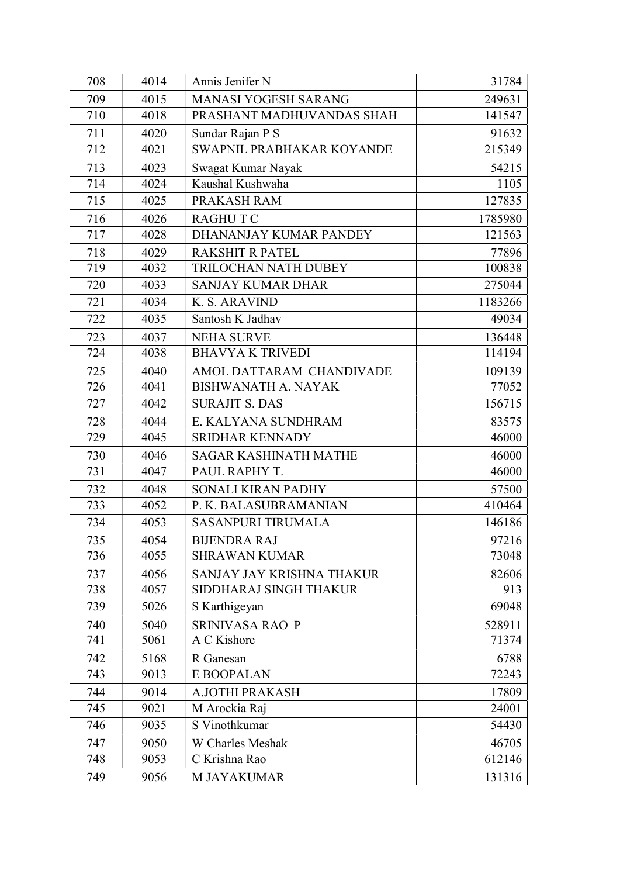| 708 | 4014 | Annis Jenifer N              | 31784   |
|-----|------|------------------------------|---------|
| 709 | 4015 | <b>MANASI YOGESH SARANG</b>  | 249631  |
| 710 | 4018 | PRASHANT MADHUVANDAS SHAH    | 141547  |
| 711 | 4020 | Sundar Rajan P S             | 91632   |
| 712 | 4021 | SWAPNIL PRABHAKAR KOYANDE    | 215349  |
| 713 | 4023 | Swagat Kumar Nayak           | 54215   |
| 714 | 4024 | Kaushal Kushwaha             | 1105    |
| 715 | 4025 | PRAKASH RAM                  | 127835  |
| 716 | 4026 | <b>RAGHUTC</b>               | 1785980 |
| 717 | 4028 | DHANANJAY KUMAR PANDEY       | 121563  |
| 718 | 4029 | <b>RAKSHIT R PATEL</b>       | 77896   |
| 719 | 4032 | TRILOCHAN NATH DUBEY         | 100838  |
| 720 | 4033 | <b>SANJAY KUMAR DHAR</b>     | 275044  |
| 721 | 4034 | K. S. ARAVIND                | 1183266 |
| 722 | 4035 | Santosh K Jadhav             | 49034   |
| 723 | 4037 | <b>NEHA SURVE</b>            | 136448  |
| 724 | 4038 | <b>BHAVYAK TRIVEDI</b>       | 114194  |
| 725 | 4040 | AMOL DATTARAM CHANDIVADE     | 109139  |
| 726 | 4041 | <b>BISHWANATH A. NAYAK</b>   | 77052   |
| 727 | 4042 | <b>SURAJIT S. DAS</b>        | 156715  |
| 728 | 4044 | E. KALYANA SUNDHRAM          | 83575   |
| 729 | 4045 | <b>SRIDHAR KENNADY</b>       | 46000   |
| 730 | 4046 | <b>SAGAR KASHINATH MATHE</b> | 46000   |
| 731 | 4047 | PAUL RAPHY T.                | 46000   |
| 732 | 4048 | SONALI KIRAN PADHY           | 57500   |
| 733 | 4052 | P. K. BALASUBRAMANIAN        | 410464  |
| 734 | 4053 | <b>SASANPURI TIRUMALA</b>    | 146186  |
| 735 | 4054 | <b>BIJENDRA RAJ</b>          | 97216   |
| 736 | 4055 | <b>SHRAWAN KUMAR</b>         | 73048   |
| 737 | 4056 | SANJAY JAY KRISHNA THAKUR    | 82606   |
| 738 | 4057 | SIDDHARAJ SINGH THAKUR       | 913     |
| 739 | 5026 | S Karthigeyan                | 69048   |
| 740 | 5040 | SRINIVASA RAO P              | 528911  |
| 741 | 5061 | A C Kishore                  | 71374   |
| 742 | 5168 | R Ganesan                    | 6788    |
| 743 | 9013 | E BOOPALAN                   | 72243   |
| 744 | 9014 | A.JOTHI PRAKASH              | 17809   |
| 745 | 9021 | M Arockia Raj                | 24001   |
| 746 | 9035 | S Vinothkumar                | 54430   |
| 747 | 9050 | W Charles Meshak             | 46705   |
| 748 | 9053 | C Krishna Rao                | 612146  |
| 749 | 9056 | M JAYAKUMAR                  | 131316  |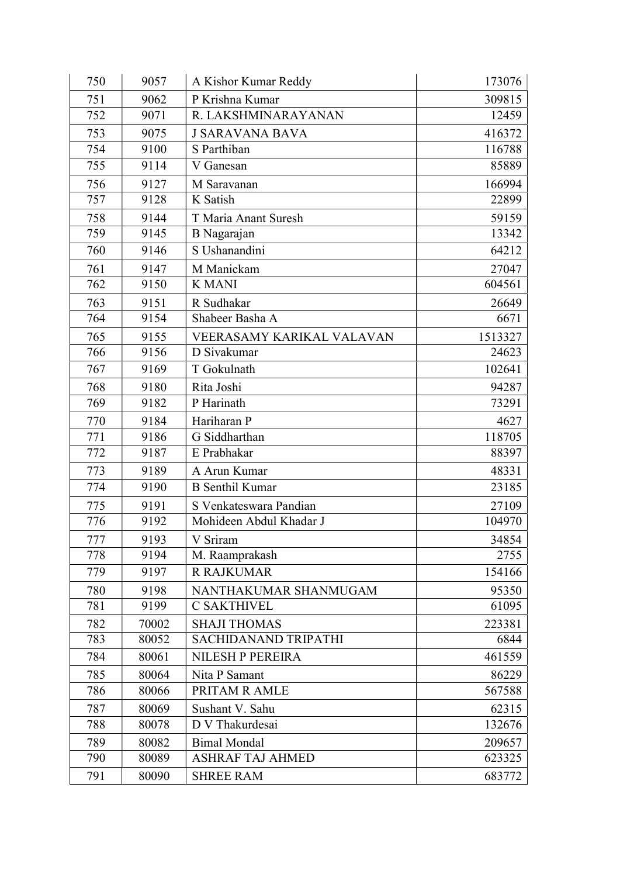| 750 | 9057  | A Kishor Kumar Reddy      | 173076  |
|-----|-------|---------------------------|---------|
| 751 | 9062  | P Krishna Kumar           | 309815  |
| 752 | 9071  | R. LAKSHMINARAYANAN       | 12459   |
| 753 | 9075  | <b>J SARAVANA BAVA</b>    | 416372  |
| 754 | 9100  | S Parthiban               | 116788  |
| 755 | 9114  | V Ganesan                 | 85889   |
| 756 | 9127  | M Saravanan               | 166994  |
| 757 | 9128  | K Satish                  | 22899   |
| 758 | 9144  | T Maria Anant Suresh      | 59159   |
| 759 | 9145  | B Nagarajan               | 13342   |
| 760 | 9146  | S Ushanandini             | 64212   |
| 761 | 9147  | M Manickam                | 27047   |
| 762 | 9150  | <b>K MANI</b>             | 604561  |
| 763 | 9151  | R Sudhakar                | 26649   |
| 764 | 9154  | Shabeer Basha A           | 6671    |
| 765 | 9155  | VEERASAMY KARIKAL VALAVAN | 1513327 |
| 766 | 9156  | D Sivakumar               | 24623   |
| 767 | 9169  | T Gokulnath               | 102641  |
| 768 | 9180  | Rita Joshi                | 94287   |
| 769 | 9182  | P Harinath                | 73291   |
| 770 | 9184  | Hariharan P               | 4627    |
| 771 | 9186  | G Siddharthan             | 118705  |
| 772 | 9187  | E Prabhakar               | 88397   |
| 773 | 9189  | A Arun Kumar              | 48331   |
| 774 | 9190  | <b>B</b> Senthil Kumar    | 23185   |
| 775 | 9191  | S Venkateswara Pandian    | 27109   |
| 776 | 9192  | Mohideen Abdul Khadar J   | 104970  |
| 777 | 9193  | V Sriram                  | 34854   |
| 778 | 9194  | M. Raamprakash            | 2755    |
| 779 | 9197  | <b>R RAJKUMAR</b>         | 154166  |
| 780 | 9198  | NANTHAKUMAR SHANMUGAM     | 95350   |
| 781 | 9199  | <b>C SAKTHIVEL</b>        | 61095   |
| 782 | 70002 | <b>SHAJI THOMAS</b>       | 223381  |
| 783 | 80052 | SACHIDANAND TRIPATHI      | 6844    |
| 784 | 80061 | <b>NILESH P PEREIRA</b>   | 461559  |
| 785 | 80064 | Nita P Samant             | 86229   |
| 786 | 80066 | PRITAM R AMLE             | 567588  |
| 787 | 80069 | Sushant V. Sahu           | 62315   |
| 788 | 80078 | D V Thakurdesai           | 132676  |
| 789 | 80082 | <b>Bimal Mondal</b>       | 209657  |
| 790 | 80089 | <b>ASHRAF TAJ AHMED</b>   | 623325  |
| 791 | 80090 | <b>SHREE RAM</b>          | 683772  |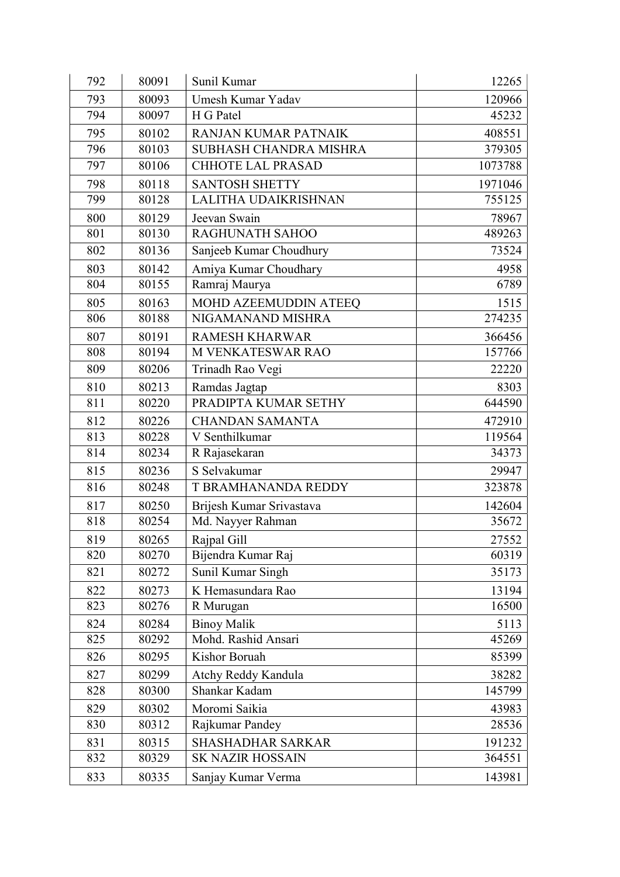| 792 | 80091 | Sunil Kumar                 | 12265   |
|-----|-------|-----------------------------|---------|
| 793 | 80093 | Umesh Kumar Yadav           | 120966  |
| 794 | 80097 | H G Patel                   | 45232   |
| 795 | 80102 | <b>RANJAN KUMAR PATNAIK</b> | 408551  |
| 796 | 80103 | SUBHASH CHANDRA MISHRA      | 379305  |
| 797 | 80106 | <b>CHHOTE LAL PRASAD</b>    | 1073788 |
| 798 | 80118 | <b>SANTOSH SHETTY</b>       | 1971046 |
| 799 | 80128 | LALITHA UDAIKRISHNAN        | 755125  |
| 800 | 80129 | Jeevan Swain                | 78967   |
| 801 | 80130 | <b>RAGHUNATH SAHOO</b>      | 489263  |
| 802 | 80136 | Sanjeeb Kumar Choudhury     | 73524   |
| 803 | 80142 | Amiya Kumar Choudhary       | 4958    |
| 804 | 80155 | Ramraj Maurya               | 6789    |
| 805 | 80163 | MOHD AZEEMUDDIN ATEEQ       | 1515    |
| 806 | 80188 | NIGAMANAND MISHRA           | 274235  |
| 807 | 80191 | <b>RAMESH KHARWAR</b>       | 366456  |
| 808 | 80194 | M VENKATESWAR RAO           | 157766  |
| 809 | 80206 | Trinadh Rao Vegi            | 22220   |
| 810 | 80213 | Ramdas Jagtap               | 8303    |
| 811 | 80220 | PRADIPTA KUMAR SETHY        | 644590  |
| 812 | 80226 | <b>CHANDAN SAMANTA</b>      | 472910  |
| 813 | 80228 | V Senthilkumar              | 119564  |
| 814 | 80234 | R Rajasekaran               | 34373   |
| 815 | 80236 | S Selvakumar                | 29947   |
| 816 | 80248 | T BRAMHANANDA REDDY         | 323878  |
| 817 | 80250 | Brijesh Kumar Srivastava    | 142604  |
| 818 | 80254 | Md. Nayyer Rahman           | 35672   |
| 819 | 80265 | Rajpal Gill                 | 27552   |
| 820 | 80270 | Bijendra Kumar Raj          | 60319   |
| 821 | 80272 | Sunil Kumar Singh           | 35173   |
| 822 | 80273 | K Hemasundara Rao           | 13194   |
| 823 | 80276 | R Murugan                   | 16500   |
| 824 | 80284 | <b>Binoy Malik</b>          | 5113    |
| 825 | 80292 | Mohd. Rashid Ansari         | 45269   |
| 826 | 80295 | Kishor Boruah               | 85399   |
| 827 | 80299 | Atchy Reddy Kandula         | 38282   |
| 828 | 80300 | Shankar Kadam               | 145799  |
| 829 | 80302 | Moromi Saikia               | 43983   |
| 830 | 80312 | Rajkumar Pandey             | 28536   |
| 831 | 80315 | <b>SHASHADHAR SARKAR</b>    | 191232  |
| 832 | 80329 | <b>SK NAZIR HOSSAIN</b>     | 364551  |
| 833 | 80335 | Sanjay Kumar Verma          | 143981  |